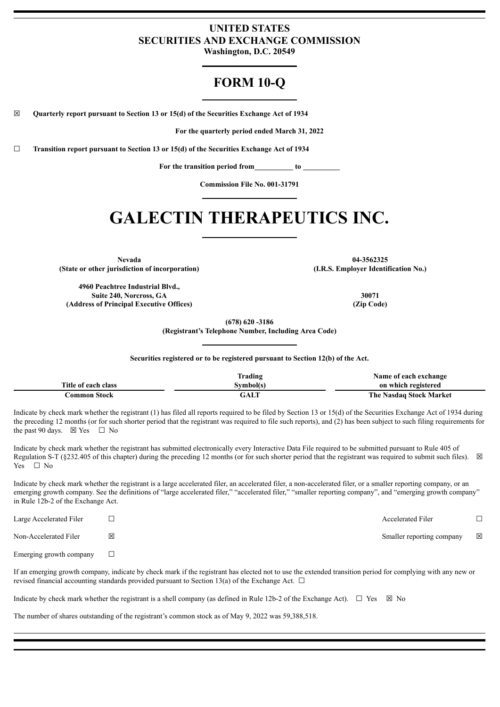# **UNITED STATES SECURITIES AND EXCHANGE COMMISSION**

**Washington, D.C. 20549**

# **FORM 10-Q**

☒ **Quarterly report pursuant to Section 13 or 15(d) of the Securities Exchange Act of 1934**

**For the quarterly period ended March 31, 2022**

☐ **Transition report pursuant to Section 13 or 15(d) of the Securities Exchange Act of 1934**

**For the transition period from to**

**Commission File No. 001-31791**

# **GALECTIN THERAPEUTICS INC.**

**Nevada 04-3562325 (State or other jurisdiction of incorporation) (I.R.S. Employer Identification No.)**

**4960 Peachtree Industrial Blvd., Suite 240, Norcross, GA 30071 (Address of Principal Executive Offices) (Zip Code)**

**(678) 620 -3186**

**(Registrant's Telephone Number, Including Area Code)**

**Securities registered or to be registered pursuant to Section 12(b) of the Act.**

|                     | frading   | Name of each exchange   |
|---------------------|-----------|-------------------------|
| Title of each class | Svmbol(s) | on which registered     |
| <b>Common Stock</b> | JALI      | The Nasdaq Stock Market |

Indicate by check mark whether the registrant (1) has filed all reports required to be filed by Section 13 or 15(d) of the Securities Exchange Act of 1934 during the preceding 12 months (or for such shorter period that the registrant was required to file such reports), and (2) has been subject to such filing requirements for the past 90 days.  $\boxtimes$  Yes  $\Box$  No

Indicate by check mark whether the registrant has submitted electronically every Interactive Data File required to be submitted pursuant to Rule 405 of Regulation S-T (§232.405 of this chapter) during the preceding 12 months (or for such shorter period that the registrant was required to submit such files).  $\boxtimes$ Yes  $\Box$  No

Indicate by check mark whether the registrant is a large accelerated filer, an accelerated filer, a non-accelerated filer, or a smaller reporting company, or an emerging growth company. See the definitions of "large accelerated filer," "accelerated filer," "smaller reporting company", and "emerging growth company" in Rule 12b-2 of the Exchange Act.

| Large Accelerated Filer |   | <b>Accelerated Filer</b>  |   |
|-------------------------|---|---------------------------|---|
| Non-Accelerated Filer   | ⊠ | Smaller reporting company | ⊠ |
| Emerging growth company |   |                           |   |

If an emerging growth company, indicate by check mark if the registrant has elected not to use the extended transition period for complying with any new or revised financial accounting standards provided pursuant to Section 13(a) of the Exchange Act.  $\Box$ 

Indicate by check mark whether the registrant is a shell company (as defined in Rule 12b-2 of the Exchange Act).  $\Box$  Yes  $\boxtimes$  No

The number of shares outstanding of the registrant's common stock as of May 9, 2022 was 59,388,518.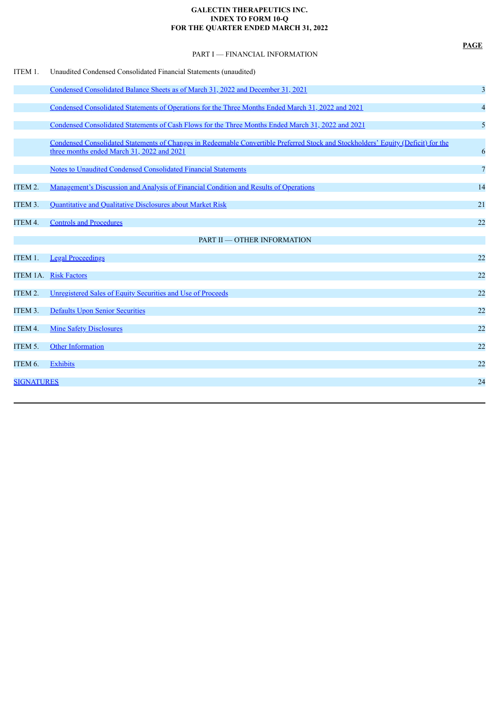# **GALECTIN THERAPEUTICS INC. INDEX TO FORM 10-Q FOR THE QUARTER ENDED MARCH 31, 2022**

# PART I — FINANCIAL INFORMATION

**PAGE**

<span id="page-1-0"></span>

| ITEM 1.           | Unaudited Condensed Consolidated Financial Statements (unaudited)                                                                                                               |                         |
|-------------------|---------------------------------------------------------------------------------------------------------------------------------------------------------------------------------|-------------------------|
|                   | Condensed Consolidated Balance Sheets as of March 31, 2022 and December 31, 2021                                                                                                | $\overline{\mathbf{3}}$ |
|                   | Condensed Consolidated Statements of Operations for the Three Months Ended March 31, 2022 and 2021                                                                              | $\overline{4}$          |
|                   | Condensed Consolidated Statements of Cash Flows for the Three Months Ended March 31, 2022 and 2021                                                                              | 5                       |
|                   | Condensed Consolidated Statements of Changes in Redeemable Convertible Preferred Stock and Stockholders' Equity (Deficit) for the<br>three months ended March 31, 2022 and 2021 | 6                       |
|                   | <b>Notes to Unaudited Condensed Consolidated Financial Statements</b>                                                                                                           | $\overline{7}$          |
| ITEM 2.           | Management's Discussion and Analysis of Financial Condition and Results of Operations                                                                                           | 14                      |
| ITEM 3.           | Quantitative and Qualitative Disclosures about Market Risk                                                                                                                      | 21                      |
| ITEM 4.           | <b>Controls and Procedures</b>                                                                                                                                                  | 22                      |
|                   | PART II - OTHER INFORMATION                                                                                                                                                     |                         |
| ITEM 1.           | <b>Legal Proceedings</b>                                                                                                                                                        | 22                      |
| ITEM 1A.          | <b>Risk Factors</b>                                                                                                                                                             | 22                      |
| ITEM 2.           | Unregistered Sales of Equity Securities and Use of Proceeds                                                                                                                     | 22                      |
| ITEM 3.           | <b>Defaults Upon Senior Securities</b>                                                                                                                                          | 22                      |
| ITEM 4.           | <b>Mine Safety Disclosures</b>                                                                                                                                                  | 22                      |
| ITEM 5.           | <b>Other Information</b>                                                                                                                                                        | 22                      |
| ITEM 6.           | <b>Exhibits</b>                                                                                                                                                                 | 22                      |
| <b>SIGNATURES</b> |                                                                                                                                                                                 | 24                      |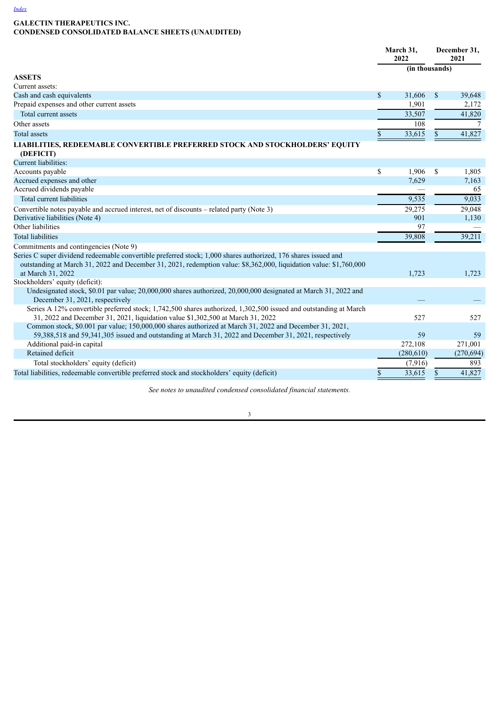# **GALECTIN THERAPEUTICS INC. CONDENSED CONSOLIDATED BALANCE SHEETS (UNAUDITED)**

*[Index](#page-1-0)*

<span id="page-2-0"></span>

|                                                                                                                                                                                                                                                           | March 31,<br>2022 |              | December 31,<br>2021 |
|-----------------------------------------------------------------------------------------------------------------------------------------------------------------------------------------------------------------------------------------------------------|-------------------|--------------|----------------------|
|                                                                                                                                                                                                                                                           | (in thousands)    |              |                      |
| <b>ASSETS</b>                                                                                                                                                                                                                                             |                   |              |                      |
| Current assets:                                                                                                                                                                                                                                           |                   |              |                      |
| Cash and cash equivalents                                                                                                                                                                                                                                 | \$<br>31,606      | $\mathbb{S}$ | 39,648               |
| Prepaid expenses and other current assets                                                                                                                                                                                                                 | 1,901             |              | 2,172                |
| Total current assets                                                                                                                                                                                                                                      | 33,507            |              | 41,820               |
| Other assets                                                                                                                                                                                                                                              | 108               |              | 7                    |
| <b>Total assets</b>                                                                                                                                                                                                                                       | \$<br>33,615      | \$           | 41,827               |
| LIABILITIES, REDEEMABLE CONVERTIBLE PREFERRED STOCK AND STOCKHOLDERS' EQUITY<br>(DEFICIT)                                                                                                                                                                 |                   |              |                      |
| Current liabilities:                                                                                                                                                                                                                                      |                   |              |                      |
| Accounts payable                                                                                                                                                                                                                                          | \$<br>1,906       | \$           | 1,805                |
| Accrued expenses and other                                                                                                                                                                                                                                | 7,629             |              | 7,163                |
| Accrued dividends payable                                                                                                                                                                                                                                 |                   |              | 65                   |
| Total current liabilities                                                                                                                                                                                                                                 | 9,535             |              | 9,033                |
| Convertible notes payable and accrued interest, net of discounts - related party (Note 3)                                                                                                                                                                 | 29,275            |              | 29,048               |
| Derivative liabilities (Note 4)                                                                                                                                                                                                                           | 901               |              | 1,130                |
| Other liabilities                                                                                                                                                                                                                                         | 97                |              |                      |
| <b>Total liabilities</b>                                                                                                                                                                                                                                  | 39,808            |              | 39,211               |
| Commitments and contingencies (Note 9)                                                                                                                                                                                                                    |                   |              |                      |
| Series C super dividend redeemable convertible preferred stock; 1,000 shares authorized, 176 shares issued and<br>outstanding at March 31, 2022 and December 31, 2021, redemption value: \$8,362,000, liquidation value: \$1,760,000<br>at March 31, 2022 | 1,723             |              | 1,723                |
| Stockholders' equity (deficit):                                                                                                                                                                                                                           |                   |              |                      |
| Undesignated stock, \$0.01 par value; 20,000,000 shares authorized, 20,000,000 designated at March 31, 2022 and<br>December 31, 2021, respectively                                                                                                        |                   |              |                      |
| Series A 12% convertible preferred stock; 1,742,500 shares authorized, 1,302,500 issued and outstanding at March<br>31, 2022 and December 31, 2021, liquidation value \$1,302,500 at March 31, 2022                                                       | 527               |              | 527                  |
| Common stock, \$0.001 par value; 150,000,000 shares authorized at March 31, 2022 and December 31, 2021,<br>59,388,518 and 59,341,305 issued and outstanding at March 31, 2022 and December 31, 2021, respectively                                         | 59                |              | 59                   |
| Additional paid-in capital                                                                                                                                                                                                                                | 272,108           |              | 271,001              |
| Retained deficit                                                                                                                                                                                                                                          | (280, 610)        |              | (270, 694)           |
| Total stockholders' equity (deficit)                                                                                                                                                                                                                      | (7,916)           |              | 893                  |
| Total liabilities, redeemable convertible preferred stock and stockholders' equity (deficit)                                                                                                                                                              | \$<br>33,615      | S            | 41,827               |

*See notes to unaudited condensed consolidated financial statements.*

3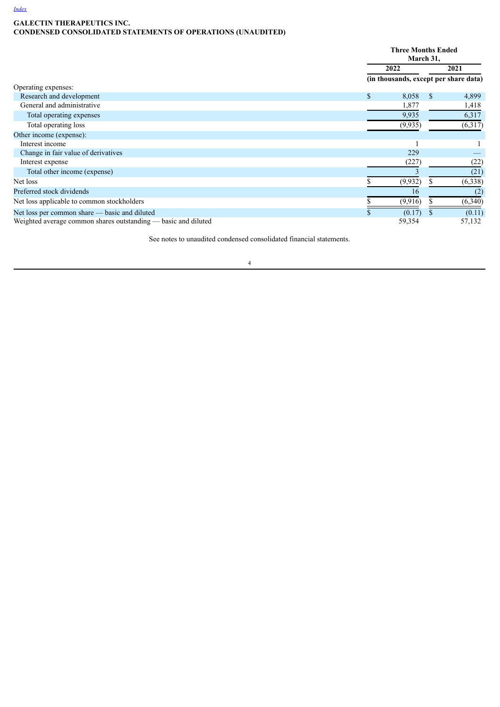# <span id="page-3-0"></span>**GALECTIN THERAPEUTICS INC. CONDENSED CONSOLIDATED STATEMENTS OF OPERATIONS (UNAUDITED)**

*[Index](#page-1-0)*

|                                                                | <b>Three Months Ended</b><br>March 31, |               |          |  |
|----------------------------------------------------------------|----------------------------------------|---------------|----------|--|
|                                                                | 2022                                   |               | 2021     |  |
|                                                                | (in thousands, except per share data)  |               |          |  |
| Operating expenses:                                            |                                        |               |          |  |
| Research and development                                       | \$<br>8,058                            | <sup>\$</sup> | 4,899    |  |
| General and administrative                                     | 1,877                                  |               | 1,418    |  |
| Total operating expenses                                       | 9,935                                  |               | 6,317    |  |
| Total operating loss                                           | (9,935)                                |               | (6,317)  |  |
| Other income (expense):                                        |                                        |               |          |  |
| Interest income                                                |                                        |               |          |  |
| Change in fair value of derivatives                            | 229                                    |               |          |  |
| Interest expense                                               | (227)                                  |               | (22)     |  |
| Total other income (expense)                                   |                                        |               | (21)     |  |
| Net loss                                                       | (9,932)                                |               | (6,338)  |  |
| Preferred stock dividends                                      | 16                                     |               | (2)      |  |
| Net loss applicable to common stockholders                     | (9,916)                                |               | (6, 340) |  |
| Net loss per common share - basic and diluted                  | (0.17)                                 | <sup>\$</sup> | (0.11)   |  |
| Weighted average common shares outstanding — basic and diluted | 59,354                                 |               | 57,132   |  |

See notes to unaudited condensed consolidated financial statements.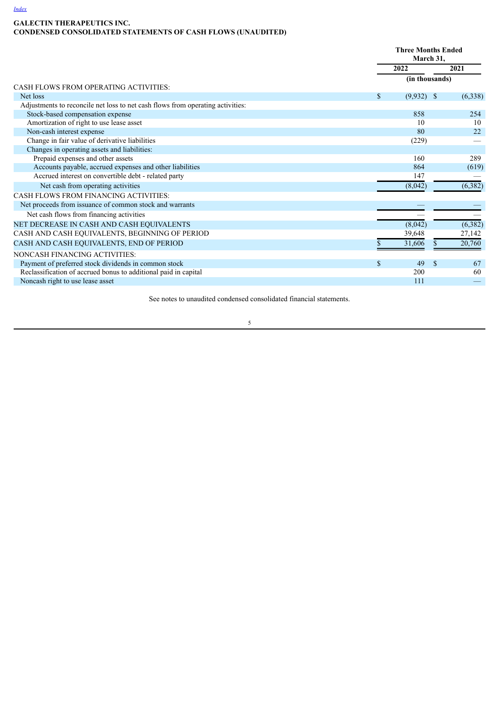# **GALECTIN THERAPEUTICS INC.**

*[Index](#page-1-0)*

# <span id="page-4-0"></span>**CONDENSED CONSOLIDATED STATEMENTS OF CASH FLOWS (UNAUDITED)**

|                                                                                |              | <b>Three Months Ended</b><br>March 31, |               |          |
|--------------------------------------------------------------------------------|--------------|----------------------------------------|---------------|----------|
|                                                                                |              | 2022                                   |               | 2021     |
|                                                                                |              | (in thousands)                         |               |          |
| CASH FLOWS FROM OPERATING ACTIVITIES:                                          |              |                                        |               |          |
| Net loss                                                                       | $\mathbb{S}$ | $(9,932)$ \$                           |               | (6,338)  |
| Adjustments to reconcile net loss to net cash flows from operating activities: |              |                                        |               |          |
| Stock-based compensation expense                                               |              | 858                                    |               | 254      |
| Amortization of right to use lease asset                                       |              | 10                                     |               | 10       |
| Non-cash interest expense                                                      |              | 80                                     |               | 22       |
| Change in fair value of derivative liabilities                                 |              | (229)                                  |               |          |
| Changes in operating assets and liabilities:                                   |              |                                        |               |          |
| Prepaid expenses and other assets                                              |              | 160                                    |               | 289      |
| Accounts payable, accrued expenses and other liabilities                       |              | 864                                    |               | (619)    |
| Accrued interest on convertible debt - related party                           |              | 147                                    |               |          |
| Net cash from operating activities                                             |              | (8,042)                                |               | (6, 382) |
| <b>CASH FLOWS FROM FINANCING ACTIVITIES:</b>                                   |              |                                        |               |          |
| Net proceeds from issuance of common stock and warrants                        |              |                                        |               |          |
| Net cash flows from financing activities                                       |              |                                        |               |          |
| NET DECREASE IN CASH AND CASH EQUIVALENTS                                      |              | (8,042)                                |               | (6, 382) |
| CASH AND CASH EQUIVALENTS, BEGINNING OF PERIOD                                 |              | 39,648                                 |               | 27,142   |
| CASH AND CASH EQUIVALENTS, END OF PERIOD                                       |              | 31,606                                 |               | 20,760   |
| <b>NONCASH FINANCING ACTIVITIES:</b>                                           |              |                                        |               |          |
| Payment of preferred stock dividends in common stock                           | $\mathbf S$  | 49                                     | <sup>\$</sup> | 67       |
| Reclassification of accrued bonus to additional paid in capital                |              | 200                                    |               | 60       |
| Noncash right to use lease asset                                               |              | 111                                    |               |          |

See notes to unaudited condensed consolidated financial statements.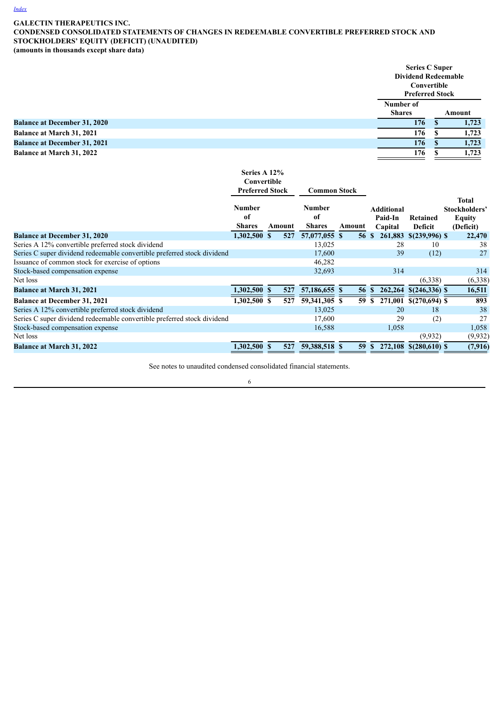# <span id="page-5-0"></span>**GALECTIN THERAPEUTICS INC. CONDENSED CONSOLIDATED STATEMENTS OF CHANGES IN REDEEMABLE CONVERTIBLE PREFERRED STOCK AND STOCKHOLDERS' EQUITY (DEFICIT) (UNAUDITED) (amounts in thousands except share data)**

*[Index](#page-1-0)*

|                                     |                            | <b>Series C Super</b><br><b>Dividend Redeemable</b><br>Convertible<br><b>Preferred Stock</b> |
|-------------------------------------|----------------------------|----------------------------------------------------------------------------------------------|
|                                     | Number of<br><b>Shares</b> | Amount                                                                                       |
| <b>Balance at December 31, 2020</b> | 176                        | 1,723                                                                                        |
| <b>Balance at March 31, 2021</b>    | 176                        | 1.723                                                                                        |
| <b>Balance at December 31, 2021</b> | 176                        | 1,723                                                                                        |
| <b>Balance at March 31, 2022</b>    | 176                        | 1.723                                                                                        |

|                                                                         | Series A 12%<br>Convertible<br><b>Preferred Stock</b> |        | <b>Common Stock</b>                  |        |               |                                  |                                   |                                                      |
|-------------------------------------------------------------------------|-------------------------------------------------------|--------|--------------------------------------|--------|---------------|----------------------------------|-----------------------------------|------------------------------------------------------|
|                                                                         | <b>Number</b><br>of<br><b>Shares</b>                  | Amount | <b>Number</b><br>of<br><b>Shares</b> | Amount |               | Additional<br>Paid-In<br>Capital | <b>Retained</b><br><b>Deficit</b> | <b>Total</b><br>Stockholders'<br>Equity<br>(Deficit) |
| <b>Balance at December 31, 2020</b>                                     | 1,302,500 \$                                          | 527    | 57,077,055 \$                        |        | 56S           | 261,883                          | $$$ (239,996) \$                  | 22,470                                               |
| Series A 12% convertible preferred stock dividend                       |                                                       |        | 13,025                               |        |               | 28                               | 10                                | 38                                                   |
| Series C super dividend redeemable convertible preferred stock dividend |                                                       |        | 17,600                               |        |               | 39                               | (12)                              | 27                                                   |
| Issuance of common stock for exercise of options                        |                                                       |        | 46,282                               |        |               |                                  |                                   |                                                      |
| Stock-based compensation expense                                        |                                                       |        | 32,693                               |        |               | 314                              |                                   | 314                                                  |
| Net loss                                                                |                                                       |        |                                      |        |               |                                  | (6,338)                           | (6, 338)                                             |
| <b>Balance at March 31, 2021</b>                                        | 1,302,500 \$                                          | 527    | 57,186,655 \$                        |        | 56S           | 262,264                          | $$(246,336)$ \$                   | 16,511                                               |
| <b>Balance at December 31, 2021</b>                                     | 1,302,500 \$                                          | 527    | 59,341,305 \$                        | 59     | S             |                                  | 271,001 \$(270,694) \$            | 893                                                  |
| Series A 12% convertible preferred stock dividend                       |                                                       |        | 13,025                               |        |               | 20                               | 18                                | 38                                                   |
| Series C super dividend redeemable convertible preferred stock dividend |                                                       |        | 17,600                               |        |               | 29                               | (2)                               | 27                                                   |
| Stock-based compensation expense                                        |                                                       |        | 16,588                               |        |               | 1,058                            |                                   | 1,058                                                |
| Net loss                                                                |                                                       |        |                                      |        |               |                                  | (9,932)                           | (9, 932)                                             |
| <b>Balance at March 31, 2022</b>                                        | 1,302,500 \$                                          | 527    | 59,388,518 \$                        | 59     | <sup>\$</sup> |                                  | 272,108 \$(280,610) \$            | (7, 916)                                             |

See notes to unaudited condensed consolidated financial statements.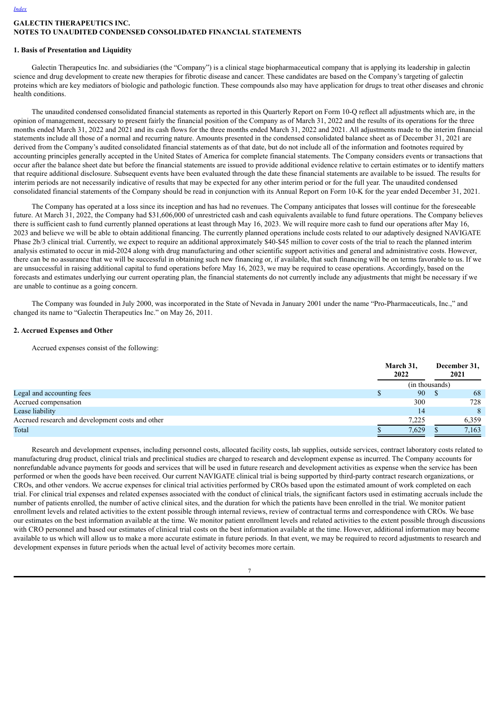# <span id="page-6-0"></span>**GALECTIN THERAPEUTICS INC. NOTES TO UNAUDITED CONDENSED CONSOLIDATED FINANCIAL STATEMENTS**

### **1. Basis of Presentation and Liquidity**

*[Index](#page-1-0)*

Galectin Therapeutics Inc. and subsidiaries (the "Company") is a clinical stage biopharmaceutical company that is applying its leadership in galectin science and drug development to create new therapies for fibrotic disease and cancer. These candidates are based on the Company's targeting of galectin proteins which are key mediators of biologic and pathologic function. These compounds also may have application for drugs to treat other diseases and chronic health conditions.

The unaudited condensed consolidated financial statements as reported in this Quarterly Report on Form 10-Q reflect all adjustments which are, in the opinion of management, necessary to present fairly the financial position of the Company as of March 31, 2022 and the results of its operations for the three months ended March 31, 2022 and 2021 and its cash flows for the three months ended March 31, 2022 and 2021. All adjustments made to the interim financial statements include all those of a normal and recurring nature. Amounts presented in the condensed consolidated balance sheet as of December 31, 2021 are derived from the Company's audited consolidated financial statements as of that date, but do not include all of the information and footnotes required by accounting principles generally accepted in the United States of America for complete financial statements. The Company considers events or transactions that occur after the balance sheet date but before the financial statements are issued to provide additional evidence relative to certain estimates or to identify matters that require additional disclosure. Subsequent events have been evaluated through the date these financial statements are available to be issued. The results for interim periods are not necessarily indicative of results that may be expected for any other interim period or for the full year. The unaudited condensed consolidated financial statements of the Company should be read in conjunction with its Annual Report on Form 10-K for the year ended December 31, 2021.

The Company has operated at a loss since its inception and has had no revenues. The Company anticipates that losses will continue for the foreseeable future. At March 31, 2022, the Company had \$31,606,000 of unrestricted cash and cash equivalents available to fund future operations. The Company believes there is sufficient cash to fund currently planned operations at least through May 16, 2023. We will require more cash to fund our operations after May 16, 2023 and believe we will be able to obtain additional financing. The currently planned operations include costs related to our adaptively designed NAVIGATE Phase 2b/3 clinical trial. Currently, we expect to require an additional approximately \$40-\$45 million to cover costs of the trial to reach the planned interim analysis estimated to occur in mid-2024 along with drug manufacturing and other scientific support activities and general and administrative costs. However, there can be no assurance that we will be successful in obtaining such new financing or, if available, that such financing will be on terms favorable to us. If we are unsuccessful in raising additional capital to fund operations before May 16, 2023, we may be required to cease operations. Accordingly, based on the forecasts and estimates underlying our current operating plan, the financial statements do not currently include any adjustments that might be necessary if we are unable to continue as a going concern.

The Company was founded in July 2000, was incorporated in the State of Nevada in January 2001 under the name "Pro-Pharmaceuticals, Inc.," and changed its name to "Galectin Therapeutics Inc." on May 26, 2011.

### **2. Accrued Expenses and Other**

Accrued expenses consist of the following:

|                                                  | March 31,<br>2022 | December 31,<br>2021 |
|--------------------------------------------------|-------------------|----------------------|
|                                                  |                   | (in thousands)       |
| Legal and accounting fees                        | 90                | 68                   |
| Accrued compensation                             | 300               | 728                  |
| Lease liability                                  | 14                | 8                    |
| Accrued research and development costs and other | 7.225             | 6,359                |
| Total                                            | 7,629             | 7,163                |

Research and development expenses, including personnel costs, allocated facility costs, lab supplies, outside services, contract laboratory costs related to manufacturing drug product, clinical trials and preclinical studies are charged to research and development expense as incurred. The Company accounts for nonrefundable advance payments for goods and services that will be used in future research and development activities as expense when the service has been performed or when the goods have been received. Our current NAVIGATE clinical trial is being supported by third-party contract research organizations, or CROs, and other vendors. We accrue expenses for clinical trial activities performed by CROs based upon the estimated amount of work completed on each trial. For clinical trial expenses and related expenses associated with the conduct of clinical trials, the significant factors used in estimating accruals include the number of patients enrolled, the number of active clinical sites, and the duration for which the patients have been enrolled in the trial. We monitor patient enrollment levels and related activities to the extent possible through internal reviews, review of contractual terms and correspondence with CROs. We base our estimates on the best information available at the time. We monitor patient enrollment levels and related activities to the extent possible through discussions with CRO personnel and based our estimates of clinical trial costs on the best information available at the time. However, additional information may become available to us which will allow us to make a more accurate estimate in future periods. In that event, we may be required to record adjustments to research and development expenses in future periods when the actual level of activity becomes more certain.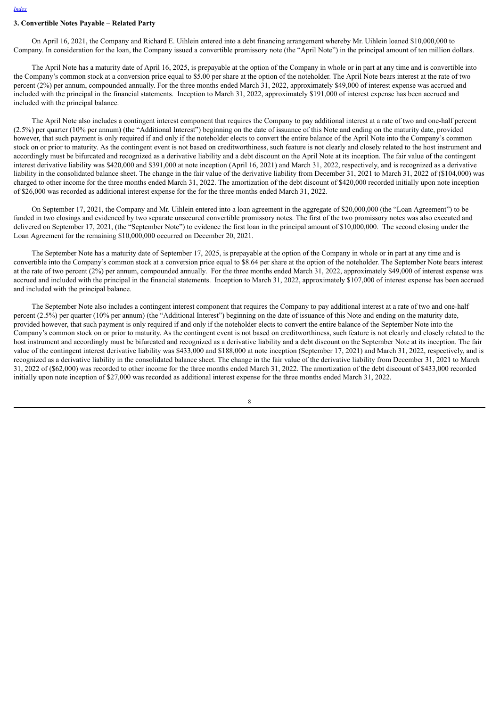### **3. Convertible Notes Payable – Related Party**

On April 16, 2021, the Company and Richard E. Uihlein entered into a debt financing arrangement whereby Mr. Uihlein loaned \$10,000,000 to Company. In consideration for the loan, the Company issued a convertible promissory note (the "April Note") in the principal amount of ten million dollars.

The April Note has a maturity date of April 16, 2025, is prepayable at the option of the Company in whole or in part at any time and is convertible into the Company's common stock at a conversion price equal to \$5.00 per share at the option of the noteholder. The April Note bears interest at the rate of two percent (2%) per annum, compounded annually. For the three months ended March 31, 2022, approximately \$49,000 of interest expense was accrued and included with the principal in the financial statements. Inception to March 31, 2022, approximately \$191,000 of interest expense has been accrued and included with the principal balance.

The April Note also includes a contingent interest component that requires the Company to pay additional interest at a rate of two and one-half percent (2.5%) per quarter (10% per annum) (the "Additional Interest") beginning on the date of issuance of this Note and ending on the maturity date, provided however, that such payment is only required if and only if the noteholder elects to convert the entire balance of the April Note into the Company's common stock on or prior to maturity. As the contingent event is not based on creditworthiness, such feature is not clearly and closely related to the host instrument and accordingly must be bifurcated and recognized as a derivative liability and a debt discount on the April Note at its inception. The fair value of the contingent interest derivative liability was \$420,000 and \$391,000 at note inception (April 16, 2021) and March 31, 2022, respectively, and is recognized as a derivative liability in the consolidated balance sheet. The change in the fair value of the derivative liability from December 31, 2021 to March 31, 2022 of (\$104,000) was charged to other income for the three months ended March 31, 2022. The amortization of the debt discount of \$420,000 recorded initially upon note inception of \$26,000 was recorded as additional interest expense for the for the three months ended March 31, 2022.

On September 17, 2021, the Company and Mr. Uihlein entered into a loan agreement in the aggregate of \$20,000,000 (the "Loan Agreement") to be funded in two closings and evidenced by two separate unsecured convertible promissory notes. The first of the two promissory notes was also executed and delivered on September 17, 2021, (the "September Note") to evidence the first loan in the principal amount of \$10,000,000. The second closing under the Loan Agreement for the remaining \$10,000,000 occurred on December 20, 2021.

The September Note has a maturity date of September 17, 2025, is prepayable at the option of the Company in whole or in part at any time and is convertible into the Company's common stock at a conversion price equal to \$8.64 per share at the option of the noteholder. The September Note bears interest at the rate of two percent (2%) per annum, compounded annually. For the three months ended March 31, 2022, approximately \$49,000 of interest expense was accrued and included with the principal in the financial statements. Inception to March 31, 2022, approximately \$107,000 of interest expense has been accrued and included with the principal balance.

The September Note also includes a contingent interest component that requires the Company to pay additional interest at a rate of two and one-half percent (2.5%) per quarter (10% per annum) (the "Additional Interest") beginning on the date of issuance of this Note and ending on the maturity date, provided however, that such payment is only required if and only if the noteholder elects to convert the entire balance of the September Note into the Company's common stock on or prior to maturity. As the contingent event is not based on creditworthiness, such feature is not clearly and closely related to the host instrument and accordingly must be bifurcated and recognized as a derivative liability and a debt discount on the September Note at its inception. The fair value of the contingent interest derivative liability was \$433,000 and \$188,000 at note inception (September 17, 2021) and March 31, 2022, respectively, and is recognized as a derivative liability in the consolidated balance sheet. The change in the fair value of the derivative liability from December 31, 2021 to March 31, 2022 of (\$62,000) was recorded to other income for the three months ended March 31, 2022. The amortization of the debt discount of \$433,000 recorded initially upon note inception of \$27,000 was recorded as additional interest expense for the three months ended March 31, 2022.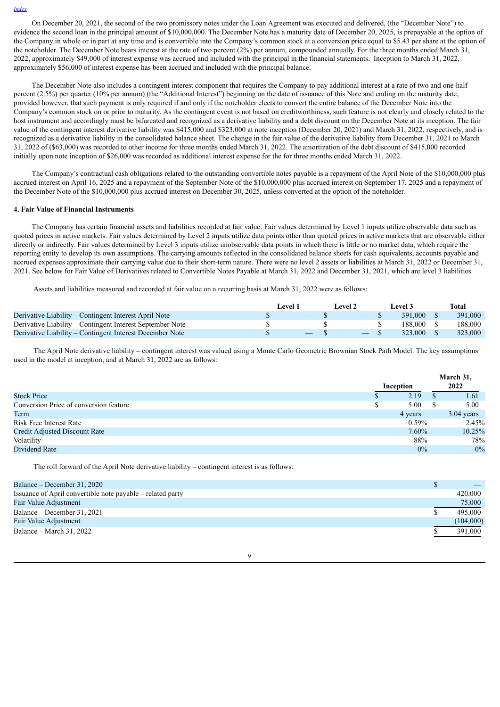On December 20, 2021, the second of the two promissory notes under the Loan Agreement was executed and delivered, (the "December Note") to evidence the second loan in the principal amount of \$10,000,000. The December Note has a maturity date of December 20, 2025, is prepayable at the option of the Company in whole or in part at any time and is convertible into the Company's common stock at a conversion price equal to \$5.43 per share at the option of the noteholder. The December Note bears interest at the rate of two percent (2%) per annum, compounded annually. For the three months ended March 31, 2022, approximately \$49,000 of interest expense was accrued and included with the principal in the financial statements. Inception to March 31, 2022, approximately \$56,000 of interest expense has been accrued and included with the principal balance.

The December Note also includes a contingent interest component that requires the Company to pay additional interest at a rate of two and one-half percent (2.5%) per quarter (10% per annum) (the "Additional Interest") beginning on the date of issuance of this Note and ending on the maturity date, provided however, that such payment is only required if and only if the noteholder elects to convert the entire balance of the December Note into the Company's common stock on or prior to maturity. As the contingent event is not based on creditworthiness, such feature is not clearly and closely related to the host instrument and accordingly must be bifurcated and recognized as a derivative liability and a debt discount on the December Note at its inception. The fair value of the contingent interest derivative liability was \$415,000 and \$323,000 at note inception (December 20, 2021) and March 31, 2022, respectively, and is recognized as a derivative liability in the consolidated balance sheet. The change in the fair value of the derivative liability from December 31, 2021 to March 31, 2022 of (\$63,000) was recorded to other income for three months ended March 31, 2022. The amortization of the debt discount of \$415,000 recorded initially upon note inception of \$26,000 was recorded as additional interest expense for the for three months ended March 31, 2022.

The Company's contractual cash obligations related to the outstanding convertible notes payable is a repayment of the April Note of the \$10,000,000 plus accrued interest on April 16, 2025 and a repayment of the September Note of the \$10,000,000 plus accrued interest on September 17, 2025 and a repayment of the December Note of the \$10,000,000 plus accrued interest on December 30, 2025, unless converted at the option of the noteholder.

### **4. Fair Value of Financial Instruments**

*[Index](#page-1-0)*

The Company has certain financial assets and liabilities recorded at fair value. Fair values determined by Level 1 inputs utilize observable data such as quoted prices in active markets. Fair values determined by Level 2 inputs utilize data points other than quoted prices in active markets that are observable either directly or indirectly. Fair values determined by Level 3 inputs utilize unobservable data points in which there is little or no market data, which require the reporting entity to develop its own assumptions. The carrying amounts reflected in the consolidated balance sheets for cash equivalents, accounts payable and accrued expenses approximate their carrying value due to their short-term nature. There were no level 2 assets or liabilities at March 31, 2022 or December 31, 2021. See below for Fair Value of Derivatives related to Convertible Notes Payable at March 31, 2022 and December 31, 2021, which are level 3 liabilities.

Assets and liabilities measured and recorded at fair value on a recurring basis at March 31, 2022 were as follows:

|                                                           | Level 1 |      | Level 2 |        | Level 3- | Total   |
|-----------------------------------------------------------|---------|------|---------|--------|----------|---------|
| Derivative Liability – Contingent Interest April Note     |         | $ s$ |         | $-$ S  | 391.000  | 391,000 |
| Derivative Liability – Contingent Interest September Note |         | $ s$ |         | $-$ \$ | 188 000  | 188.000 |
| Derivative Liability – Contingent Interest December Note  |         | $ s$ |         | $-$ \$ | 323.000  | 323,000 |

The April Note derivative liability – contingent interest was valued using a Monte Carlo Geometric Brownian Stock Path Model. The key assumptions used in the model at inception, and at March 31, 2022 are as follows:

|                                        |           |  | March 31,    |
|----------------------------------------|-----------|--|--------------|
|                                        | Inception |  | 2022         |
| <b>Stock Price</b>                     | 2.19      |  | 1.61         |
| Conversion Price of conversion feature | 5.00      |  | 5.00         |
| Term                                   | 4 years   |  | $3.04$ years |
| <b>Risk Free Interest Rate</b>         | $0.59\%$  |  | 2.45%        |
| Credit Adjusted Discount Rate          | $7.60\%$  |  | 10.25%       |
| Volatility                             | 88%       |  | 78%          |
| Dividend Rate                          | $0\%$     |  | $0\%$        |

The roll forward of the April Note derivative liability – contingent interest is as follows:

| Balance – December 31, 2020                                |           |
|------------------------------------------------------------|-----------|
| Issuance of April convertible note payable – related party | 420,000   |
| Fair Value Adjustment                                      | 75,000    |
| Balance – December 31, 2021                                | 495,000   |
| Fair Value Adjustment                                      | (104,000) |
| Balance – March 31, 2022                                   | 391,000   |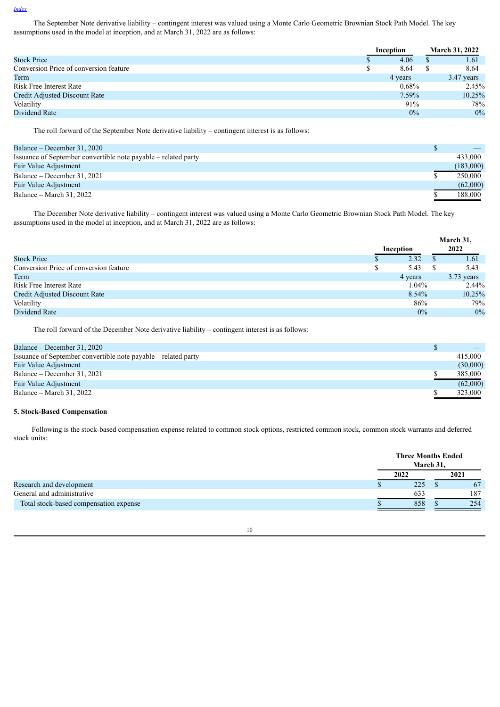The September Note derivative liability – contingent interest was valued using a Monte Carlo Geometric Brownian Stock Path Model. The key assumptions used in the model at inception, and at March 31, 2022 are as follows:

|                                        | Inception | <b>March 31, 2022</b> |
|----------------------------------------|-----------|-----------------------|
| <b>Stock Price</b>                     | 4.06      | 1.61                  |
| Conversion Price of conversion feature | 8.64      | 8.64                  |
| Term                                   | 4 years   | 3.47 years            |
| <b>Risk Free Interest Rate</b>         | 0.68%     | 2.45%                 |
| Credit Adjusted Discount Rate          | 7.59%     | 10.25%                |
| Volatility                             | 91%       | 78%                   |
| Dividend Rate                          | $0\%$     | 0%                    |

The roll forward of the September Note derivative liability – contingent interest is as follows:

| Balance – December 31, 2020                                    |           |
|----------------------------------------------------------------|-----------|
| Issuance of September convertible note payable – related party | 433,000   |
| Fair Value Adjustment                                          | (183,000) |
| Balance – December 31, 2021                                    | 250,000   |
| Fair Value Adjustment                                          | (62,000)  |
| Balance – March 31, 2022                                       | 188,000   |

The December Note derivative liability – contingent interest was valued using a Monte Carlo Geometric Brownian Stock Path Model. The key assumptions used in the model at inception, and at March 31, 2022 are as follows:

|                                        |  |           |  | March 31,  |  |
|----------------------------------------|--|-----------|--|------------|--|
|                                        |  | Inception |  | 2022       |  |
| <b>Stock Price</b>                     |  | 2.32      |  | 1.61       |  |
| Conversion Price of conversion feature |  | 5.43      |  | 5.43       |  |
| Term                                   |  | 4 years   |  | 3.73 years |  |
| Risk Free Interest Rate                |  | 1.04%     |  | 2.44%      |  |
| Credit Adjusted Discount Rate          |  | 8.54%     |  | 10.25%     |  |
| Volatility                             |  | 86%       |  | 79%        |  |
| Dividend Rate                          |  | $0\%$     |  | $0\%$      |  |

The roll forward of the December Note derivative liability – contingent interest is as follows:

| Balance – December 31, 2020                                    |          |
|----------------------------------------------------------------|----------|
| Issuance of September convertible note payable – related party | 415,000  |
| Fair Value Adjustment                                          | (30,000) |
| Balance – December 31, 2021                                    | 385,000  |
| Fair Value Adjustment                                          | (62,000) |
| Balance – March 31, 2022                                       | 323,000  |

# **5. Stock-Based Compensation**

Following is the stock-based compensation expense related to common stock options, restricted common stock, common stock warrants and deferred stock units:

|                                        | <b>Three Months Ended</b><br>March 31, |  |      |
|----------------------------------------|----------------------------------------|--|------|
|                                        | 2022                                   |  | 2021 |
| Research and development               | 225                                    |  | 67   |
| General and administrative             | 633                                    |  | 187  |
| Total stock-based compensation expense | 858                                    |  | 254  |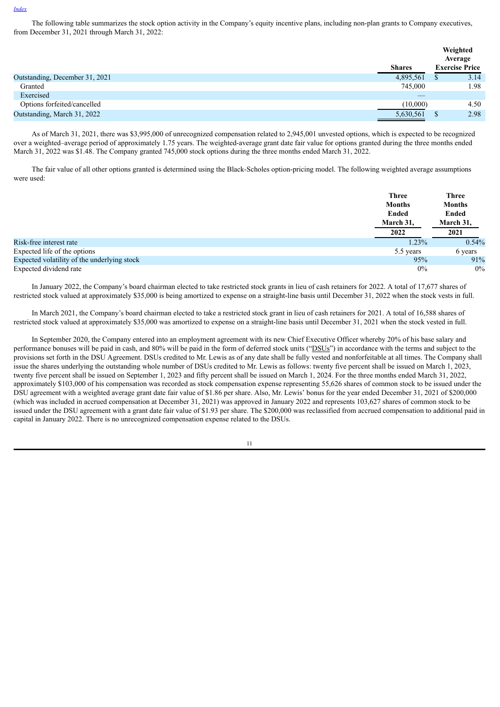The following table summarizes the stock option activity in the Company's equity incentive plans, including non-plan grants to Company executives, from December 31, 2021 through March 31, 2022:

|                                |               | Weighted<br>Average   |
|--------------------------------|---------------|-----------------------|
|                                | <b>Shares</b> | <b>Exercise Price</b> |
| Outstanding, December 31, 2021 | 4,895,561     | 3.14<br>S             |
| Granted                        | 745,000       | 1.98                  |
| Exercised                      |               |                       |
| Options forfeited/cancelled    | (10,000)      | 4.50                  |
| Outstanding, March 31, 2022    | 5,630,561     | 2.98<br>S             |

As of March 31, 2021, there was \$3,995,000 of unrecognized compensation related to 2,945,001 unvested options, which is expected to be recognized over a weighted–average period of approximately 1.75 years. The weighted-average grant date fair value for options granted during the three months ended March 31, 2022 was \$1.48. The Company granted 745,000 stock options during the three months ended March 31, 2022.

The fair value of all other options granted is determined using the Black-Scholes option-pricing model. The following weighted average assumptions were used:

|                                             | <b>Three</b><br><b>Months</b><br><b>Ended</b><br>March 31, | <b>Three</b><br><b>Months</b><br><b>Ended</b><br>March 31, |
|---------------------------------------------|------------------------------------------------------------|------------------------------------------------------------|
|                                             | 2022                                                       | 2021                                                       |
| Risk-free interest rate                     | 1.23%                                                      | $0.54\%$                                                   |
| Expected life of the options                | 5.5 years                                                  | 6 years                                                    |
| Expected volatility of the underlying stock | 95%                                                        | 91%                                                        |
| Expected dividend rate                      | 0%                                                         | $0\%$                                                      |

In January 2022, the Company's board chairman elected to take restricted stock grants in lieu of cash retainers for 2022. A total of 17,677 shares of restricted stock valued at approximately \$35,000 is being amortized to expense on a straight-line basis until December 31, 2022 when the stock vests in full.

In March 2021, the Company's board chairman elected to take a restricted stock grant in lieu of cash retainers for 2021. A total of 16,588 shares of restricted stock valued at approximately \$35,000 was amortized to expense on a straight-line basis until December 31, 2021 when the stock vested in full.

In September 2020, the Company entered into an employment agreement with its new Chief Executive Officer whereby 20% of his base salary and performance bonuses will be paid in cash, and 80% will be paid in the form of deferred stock units ("DSUs") in accordance with the terms and subject to the provisions set forth in the DSU Agreement. DSUs credited to Mr. Lewis as of any date shall be fully vested and nonforfeitable at all times. The Company shall issue the shares underlying the outstanding whole number of DSUs credited to Mr. Lewis as follows: twenty five percent shall be issued on March 1, 2023, twenty five percent shall be issued on September 1, 2023 and fifty percent shall be issued on March 1, 2024. For the three months ended March 31, 2022, approximately \$103,000 of his compensation was recorded as stock compensation expense representing 55,626 shares of common stock to be issued under the DSU agreement with a weighted average grant date fair value of \$1.86 per share. Also, Mr. Lewis' bonus for the year ended December 31, 2021 of \$200,000 (which was included in accrued compensation at December 31, 2021) was approved in January 2022 and represents 103,627 shares of common stock to be issued under the DSU agreement with a grant date fair value of \$1.93 per share. The \$200,000 was reclassified from accrued compensation to additional paid in capital in January 2022. There is no unrecognized compensation expense related to the DSUs.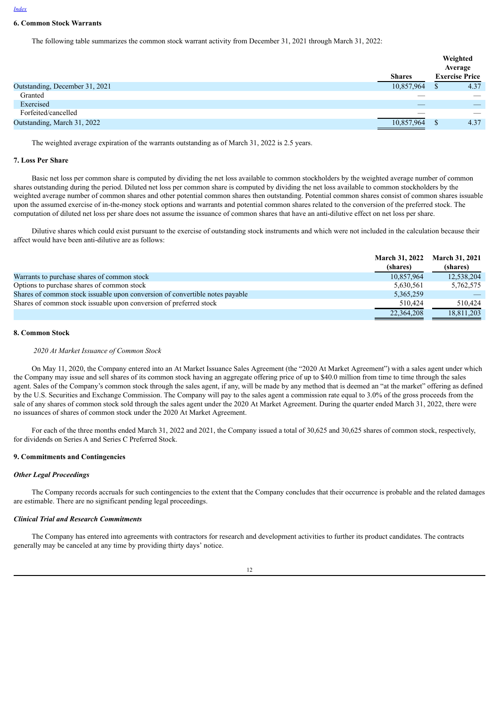# **6. Common Stock Warrants**

The following table summarizes the common stock warrant activity from December 31, 2021 through March 31, 2022:

|               | Weighted<br>Average   |
|---------------|-----------------------|
| <b>Shares</b> | <b>Exercise Price</b> |
| 10,857,964    | 4.37                  |
|               |                       |
|               |                       |
|               |                       |
| 10,857,964    | 4.37                  |
|               |                       |

The weighted average expiration of the warrants outstanding as of March 31, 2022 is 2.5 years.

### **7. Loss Per Share**

Basic net loss per common share is computed by dividing the net loss available to common stockholders by the weighted average number of common shares outstanding during the period. Diluted net loss per common share is computed by dividing the net loss available to common stockholders by the weighted average number of common shares and other potential common shares then outstanding. Potential common shares consist of common shares issuable upon the assumed exercise of in-the-money stock options and warrants and potential common shares related to the conversion of the preferred stock. The computation of diluted net loss per share does not assume the issuance of common shares that have an anti-dilutive effect on net loss per share.

Dilutive shares which could exist pursuant to the exercise of outstanding stock instruments and which were not included in the calculation because their affect would have been anti-dilutive are as follows:

|                                                                              |             | March 31, 2022 March 31, 2021 |
|------------------------------------------------------------------------------|-------------|-------------------------------|
|                                                                              | (shares)    | (shares)                      |
| Warrants to purchase shares of common stock                                  | 10,857,964  | 12,538,204                    |
| Options to purchase shares of common stock                                   | 5,630,561   | 5,762,575                     |
| Shares of common stock issuable upon conversion of convertible notes payable | 5, 365, 259 |                               |
| Shares of common stock issuable upon conversion of preferred stock           | 510.424     | 510.424                       |
|                                                                              | 22,364,208  | 18,811,203                    |

### **8. Common Stock**

#### *2020 At Market Issuance of Common Stock*

On May 11, 2020, the Company entered into an At Market Issuance Sales Agreement (the "2020 At Market Agreement") with a sales agent under which the Company may issue and sell shares of its common stock having an aggregate offering price of up to \$40.0 million from time to time through the sales agent. Sales of the Company's common stock through the sales agent, if any, will be made by any method that is deemed an "at the market" offering as defined by the U.S. Securities and Exchange Commission. The Company will pay to the sales agent a commission rate equal to 3.0% of the gross proceeds from the sale of any shares of common stock sold through the sales agent under the 2020 At Market Agreement. During the quarter ended March 31, 2022, there were no issuances of shares of common stock under the 2020 At Market Agreement.

For each of the three months ended March 31, 2022 and 2021, the Company issued a total of 30,625 and 30,625 shares of common stock, respectively, for dividends on Series A and Series C Preferred Stock.

### **9. Commitments and Contingencies**

#### *Other Legal Proceedings*

The Company records accruals for such contingencies to the extent that the Company concludes that their occurrence is probable and the related damages are estimable. There are no significant pending legal proceedings.

### *Clinical Trial and Research Commitments*

The Company has entered into agreements with contractors for research and development activities to further its product candidates. The contracts generally may be canceled at any time by providing thirty days' notice.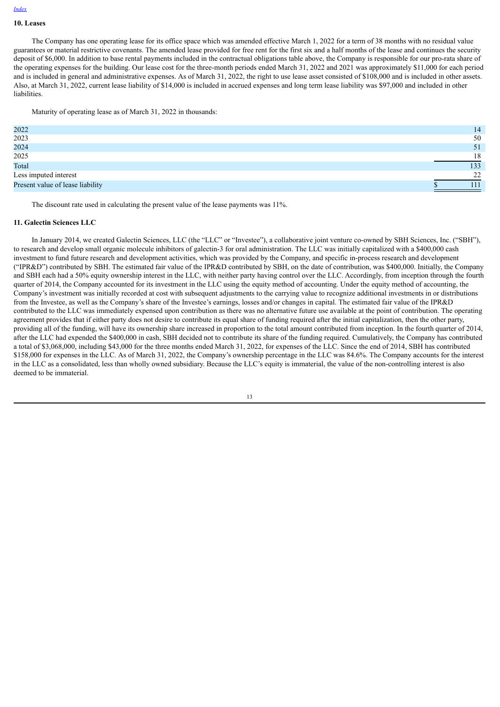# **10. Leases**

*[Index](#page-1-0)*

The Company has one operating lease for its office space which was amended effective March 1, 2022 for a term of 38 months with no residual value guarantees or material restrictive covenants. The amended lease provided for free rent for the first six and a half months of the lease and continues the security deposit of \$6,000. In addition to base rental payments included in the contractual obligations table above, the Company is responsible for our pro-rata share of the operating expenses for the building. Our lease cost for the three-month periods ended March 31, 2022 and 2021 was approximately \$11,000 for each period and is included in general and administrative expenses. As of March 31, 2022, the right to use lease asset consisted of \$108,000 and is included in other assets. Also, at March 31, 2022, current lease liability of \$14,000 is included in accrued expenses and long term lease liability was \$97,000 and included in other liabilities.

Maturity of operating lease as of March 31, 2022 in thousands:

| 2022                             | 14  |
|----------------------------------|-----|
| 2023                             | 50  |
| 2024                             |     |
| 2025                             | 18  |
| Total                            | 133 |
| Less imputed interest            | 22  |
| Present value of lease liability |     |

The discount rate used in calculating the present value of the lease payments was 11%.

#### **11. Galectin Sciences LLC**

In January 2014, we created Galectin Sciences, LLC (the "LLC" or "Investee"), a collaborative joint venture co-owned by SBH Sciences, Inc. ("SBH"), to research and develop small organic molecule inhibitors of galectin-3 for oral administration. The LLC was initially capitalized with a \$400,000 cash investment to fund future research and development activities, which was provided by the Company, and specific in-process research and development ("IPR&D") contributed by SBH. The estimated fair value of the IPR&D contributed by SBH, on the date of contribution, was \$400,000. Initially, the Company and SBH each had a 50% equity ownership interest in the LLC, with neither party having control over the LLC. Accordingly, from inception through the fourth quarter of 2014, the Company accounted for its investment in the LLC using the equity method of accounting. Under the equity method of accounting, the Company's investment was initially recorded at cost with subsequent adjustments to the carrying value to recognize additional investments in or distributions from the Investee, as well as the Company's share of the Investee's earnings, losses and/or changes in capital. The estimated fair value of the IPR&D contributed to the LLC was immediately expensed upon contribution as there was no alternative future use available at the point of contribution. The operating agreement provides that if either party does not desire to contribute its equal share of funding required after the initial capitalization, then the other party, providing all of the funding, will have its ownership share increased in proportion to the total amount contributed from inception. In the fourth quarter of 2014, after the LLC had expended the \$400,000 in cash, SBH decided not to contribute its share of the funding required. Cumulatively, the Company has contributed a total of \$3,068,000, including \$43,000 for the three months ended March 31, 2022, for expenses of the LLC. Since the end of 2014, SBH has contributed \$158,000 for expenses in the LLC. As of March 31, 2022, the Company's ownership percentage in the LLC was 84.6%. The Company accounts for the interest in the LLC as a consolidated, less than wholly owned subsidiary. Because the LLC's equity is immaterial, the value of the non-controlling interest is also deemed to be immaterial.

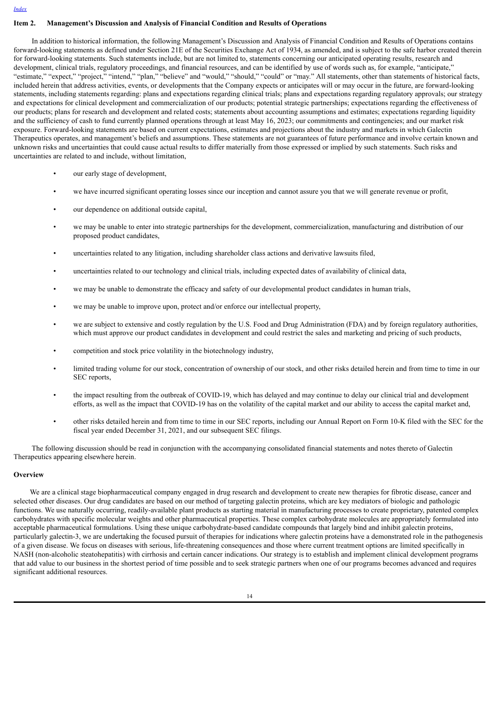### <span id="page-13-0"></span>**Item 2. Management's Discussion and Analysis of Financial Condition and Results of Operations**

In addition to historical information, the following Management's Discussion and Analysis of Financial Condition and Results of Operations contains forward-looking statements as defined under Section 21E of the Securities Exchange Act of 1934, as amended, and is subject to the safe harbor created therein for forward-looking statements. Such statements include, but are not limited to, statements concerning our anticipated operating results, research and development, clinical trials, regulatory proceedings, and financial resources, and can be identified by use of words such as, for example, "anticipate," "estimate," "expect," "project," "intend," "plan," "believe" and "would," "should," "could" or "may." All statements, other than statements of historical facts, included herein that address activities, events, or developments that the Company expects or anticipates will or may occur in the future, are forward-looking statements, including statements regarding: plans and expectations regarding clinical trials; plans and expectations regarding regulatory approvals; our strategy and expectations for clinical development and commercialization of our products; potential strategic partnerships; expectations regarding the effectiveness of our products; plans for research and development and related costs; statements about accounting assumptions and estimates; expectations regarding liquidity and the sufficiency of cash to fund currently planned operations through at least May 16, 2023; our commitments and contingencies; and our market risk exposure. Forward-looking statements are based on current expectations, estimates and projections about the industry and markets in which Galectin Therapeutics operates, and management's beliefs and assumptions. These statements are not guarantees of future performance and involve certain known and unknown risks and uncertainties that could cause actual results to differ materially from those expressed or implied by such statements. Such risks and uncertainties are related to and include, without limitation,

- our early stage of development,
- we have incurred significant operating losses since our inception and cannot assure you that we will generate revenue or profit,
- our dependence on additional outside capital,
- we may be unable to enter into strategic partnerships for the development, commercialization, manufacturing and distribution of our proposed product candidates,
- uncertainties related to any litigation, including shareholder class actions and derivative lawsuits filed,
- uncertainties related to our technology and clinical trials, including expected dates of availability of clinical data,
- we may be unable to demonstrate the efficacy and safety of our developmental product candidates in human trials,
- we may be unable to improve upon, protect and/or enforce our intellectual property,
- we are subject to extensive and costly regulation by the U.S. Food and Drug Administration (FDA) and by foreign regulatory authorities, which must approve our product candidates in development and could restrict the sales and marketing and pricing of such products,
- competition and stock price volatility in the biotechnology industry,
- limited trading volume for our stock, concentration of ownership of our stock, and other risks detailed herein and from time to time in our SEC reports,
- the impact resulting from the outbreak of COVID-19, which has delayed and may continue to delay our clinical trial and development efforts, as well as the impact that COVID-19 has on the volatility of the capital market and our ability to access the capital market and,
- other risks detailed herein and from time to time in our SEC reports, including our Annual Report on Form 10-K filed with the SEC for the fiscal year ended December 31, 2021, and our subsequent SEC filings.

The following discussion should be read in conjunction with the accompanying consolidated financial statements and notes thereto of Galectin Therapeutics appearing elsewhere herein.

### **Overview**

We are a clinical stage biopharmaceutical company engaged in drug research and development to create new therapies for fibrotic disease, cancer and selected other diseases. Our drug candidates are based on our method of targeting galectin proteins, which are key mediators of biologic and pathologic functions. We use naturally occurring, readily-available plant products as starting material in manufacturing processes to create proprietary, patented complex carbohydrates with specific molecular weights and other pharmaceutical properties. These complex carbohydrate molecules are appropriately formulated into acceptable pharmaceutical formulations. Using these unique carbohydrate-based candidate compounds that largely bind and inhibit galectin proteins, particularly galectin-3, we are undertaking the focused pursuit of therapies for indications where galectin proteins have a demonstrated role in the pathogenesis of a given disease. We focus on diseases with serious, life-threatening consequences and those where current treatment options are limited specifically in NASH (non-alcoholic steatohepatitis) with cirrhosis and certain cancer indications. Our strategy is to establish and implement clinical development programs that add value to our business in the shortest period of time possible and to seek strategic partners when one of our programs becomes advanced and requires significant additional resources.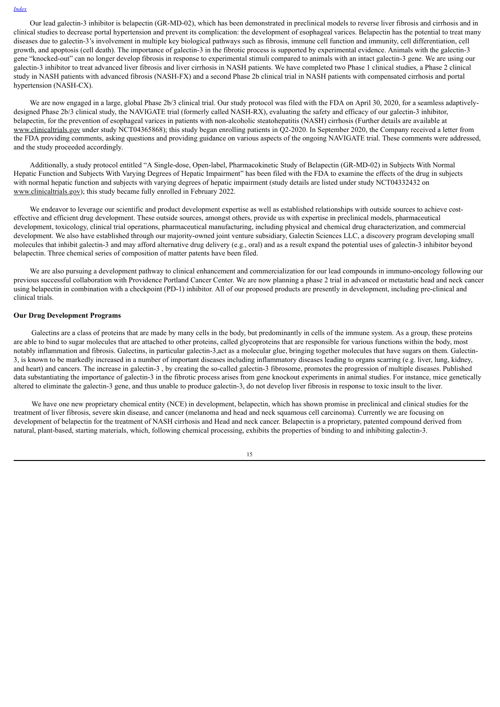Our lead galectin-3 inhibitor is belapectin (GR-MD-02), which has been demonstrated in preclinical models to reverse liver fibrosis and cirrhosis and in clinical studies to decrease portal hypertension and prevent its complication: the development of esophageal varices. Belapectin has the potential to treat many diseases due to galectin-3's involvement in multiple key biological pathways such as fibrosis, immune cell function and immunity, cell differentiation, cell growth, and apoptosis (cell death). The importance of galectin-3 in the fibrotic process is supported by experimental evidence. Animals with the galectin-3 gene "knocked-out" can no longer develop fibrosis in response to experimental stimuli compared to animals with an intact galectin-3 gene. We are using our galectin-3 inhibitor to treat advanced liver fibrosis and liver cirrhosis in NASH patients. We have completed two Phase 1 clinical studies, a Phase 2 clinical study in NASH patients with advanced fibrosis (NASH-FX) and a second Phase 2b clinical trial in NASH patients with compensated cirrhosis and portal hypertension (NASH-CX).

We are now engaged in a large, global Phase 2b/3 clinical trial. Our study protocol was filed with the FDA on April 30, 2020, for a seamless adaptivelydesigned Phase 2b/3 clinical study, the NAVIGATE trial (formerly called NASH-RX), evaluating the safety and efficacy of our galectin-3 inhibitor, belapectin, for the prevention of esophageal varices in patients with non-alcoholic steatohepatitis (NASH) cirrhosis (Further details are available at www.clinicaltrials.gov under study NCT04365868); this study began enrolling patients in Q2-2020. In September 2020, the Company received a letter from the FDA providing comments, asking questions and providing guidance on various aspects of the ongoing NAVIGATE trial. These comments were addressed, and the study proceeded accordingly.

Additionally, a study protocol entitled "A Single-dose, Open-label, Pharmacokinetic Study of Belapectin (GR-MD-02) in Subjects With Normal Hepatic Function and Subjects With Varying Degrees of Hepatic Impairment" has been filed with the FDA to examine the effects of the drug in subjects with normal hepatic function and subjects with varying degrees of hepatic impairment (study details are listed under study NCT04332432 on www.clinicaltrials.gov); this study became fully enrolled in February 2022.

We endeavor to leverage our scientific and product development expertise as well as established relationships with outside sources to achieve costeffective and efficient drug development. These outside sources, amongst others, provide us with expertise in preclinical models, pharmaceutical development, toxicology, clinical trial operations, pharmaceutical manufacturing, including physical and chemical drug characterization, and commercial development. We also have established through our majority-owned joint venture subsidiary. Galectin Sciences LLC, a discovery program developing small molecules that inhibit galectin-3 and may afford alternative drug delivery (e.g., oral) and as a result expand the potential uses of galectin-3 inhibitor beyond belapectin. Three chemical series of composition of matter patents have been filed.

We are also pursuing a development pathway to clinical enhancement and commercialization for our lead compounds in immuno-oncology following our previous successful collaboration with Providence Portland Cancer Center. We are now planning a phase 2 trial in advanced or metastatic head and neck cancer using belapectin in combination with a checkpoint (PD-1) inhibitor. All of our proposed products are presently in development, including pre-clinical and clinical trials.

### **Our Drug Development Programs**

Galectins are a class of proteins that are made by many cells in the body, but predominantly in cells of the immune system. As a group, these proteins are able to bind to sugar molecules that are attached to other proteins, called glycoproteins that are responsible for various functions within the body, most notably inflammation and fibrosis. Galectins, in particular galectin-3,act as a molecular glue, bringing together molecules that have sugars on them. Galectin-3, is known to be markedly increased in a number of important diseases including inflammatory diseases leading to organs scarring (e.g. liver, lung, kidney, and heart) and cancers. The increase in galectin-3 , by creating the so-called galectin-3 fibrosome, promotes the progression of multiple diseases. Published data substantiating the importance of galectin-3 in the fibrotic process arises from gene knockout experiments in animal studies. For instance, mice genetically altered to eliminate the galectin-3 gene, and thus unable to produce galectin-3, do not develop liver fibrosis in response to toxic insult to the liver.

We have one new proprietary chemical entity (NCE) in development, belapectin, which has shown promise in preclinical and clinical studies for the treatment of liver fibrosis, severe skin disease, and cancer (melanoma and head and neck squamous cell carcinoma). Currently we are focusing on development of belapectin for the treatment of NASH cirrhosis and Head and neck cancer. Belapectin is a proprietary, patented compound derived from natural, plant-based, starting materials, which, following chemical processing, exhibits the properties of binding to and inhibiting galectin-3.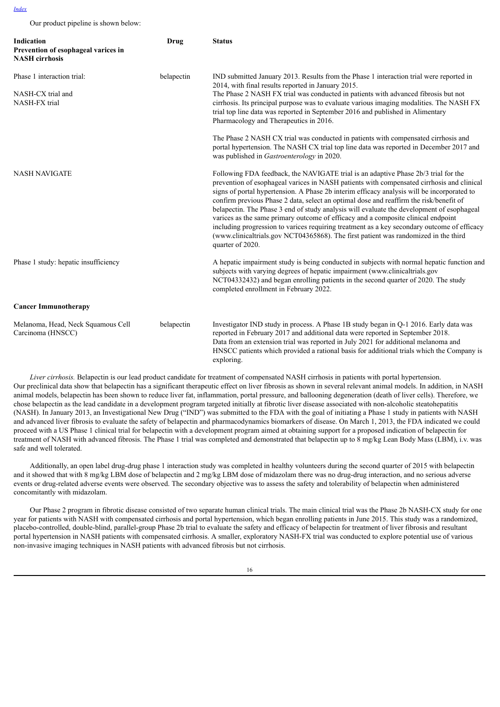Our product pipeline is shown below:

| <b>Indication</b><br>Prevention of esophageal varices in<br><b>NASH</b> cirrhosis | Drug       | <b>Status</b>                                                                                                                                                                                                                                                                                                                                                                                                                                                                                                                                                                                                                                                                                                                                                       |
|-----------------------------------------------------------------------------------|------------|---------------------------------------------------------------------------------------------------------------------------------------------------------------------------------------------------------------------------------------------------------------------------------------------------------------------------------------------------------------------------------------------------------------------------------------------------------------------------------------------------------------------------------------------------------------------------------------------------------------------------------------------------------------------------------------------------------------------------------------------------------------------|
| Phase 1 interaction trial:                                                        | belapectin | IND submitted January 2013. Results from the Phase 1 interaction trial were reported in                                                                                                                                                                                                                                                                                                                                                                                                                                                                                                                                                                                                                                                                             |
| NASH-CX trial and<br>NASH-FX trial                                                |            | 2014, with final results reported in January 2015.<br>The Phase 2 NASH FX trial was conducted in patients with advanced fibrosis but not<br>cirrhosis. Its principal purpose was to evaluate various imaging modalities. The NASH FX<br>trial top line data was reported in September 2016 and published in Alimentary<br>Pharmacology and Therapeutics in 2016.                                                                                                                                                                                                                                                                                                                                                                                                    |
|                                                                                   |            | The Phase 2 NASH CX trial was conducted in patients with compensated cirrhosis and<br>portal hypertension. The NASH CX trial top line data was reported in December 2017 and<br>was published in Gastroenterology in 2020.                                                                                                                                                                                                                                                                                                                                                                                                                                                                                                                                          |
| <b>NASH NAVIGATE</b>                                                              |            | Following FDA feedback, the NAVIGATE trial is an adaptive Phase 2b/3 trial for the<br>prevention of esophageal varices in NASH patients with compensated cirrhosis and clinical<br>signs of portal hypertension. A Phase 2b interim efficacy analysis will be incorporated to<br>confirm previous Phase 2 data, select an optimal dose and reaffirm the risk/benefit of<br>belapectin. The Phase 3 end of study analysis will evaluate the development of esophageal<br>varices as the same primary outcome of efficacy and a composite clinical endpoint<br>including progression to varices requiring treatment as a key secondary outcome of efficacy<br>(www.clinicaltrials.gov NCT04365868). The first patient was randomized in the third<br>quarter of 2020. |
| Phase 1 study: hepatic insufficiency                                              |            | A hepatic impairment study is being conducted in subjects with normal hepatic function and<br>subjects with varying degrees of hepatic impairment (www.clinicaltrials.gov<br>NCT04332432) and began enrolling patients in the second quarter of 2020. The study<br>completed enrollment in February 2022.                                                                                                                                                                                                                                                                                                                                                                                                                                                           |
| <b>Cancer Immunotherapy</b>                                                       |            |                                                                                                                                                                                                                                                                                                                                                                                                                                                                                                                                                                                                                                                                                                                                                                     |
| Melanoma, Head, Neck Squamous Cell<br>Carcinoma (HNSCC)                           | belapectin | Investigator IND study in process. A Phase 1B study began in Q-1 2016. Early data was<br>reported in February 2017 and additional data were reported in September 2018.<br>Data from an extension trial was reported in July 2021 for additional melanoma and<br>HNSCC patients which provided a rational basis for additional trials which the Company is<br>exploring.                                                                                                                                                                                                                                                                                                                                                                                            |

*Liver cirrhosis.* Belapectin is our lead product candidate for treatment of compensated NASH cirrhosis in patients with portal hypertension. Our preclinical data show that belapectin has a significant therapeutic effect on liver fibrosis as shown in several relevant animal models. In addition, in NASH animal models, belapectin has been shown to reduce liver fat, inflammation, portal pressure, and ballooning degeneration (death of liver cells). Therefore, we chose belapectin as the lead candidate in a development program targeted initially at fibrotic liver disease associated with non-alcoholic steatohepatitis (NASH). In January 2013, an Investigational New Drug ("IND") was submitted to the FDA with the goal of initiating a Phase 1 study in patients with NASH and advanced liver fibrosis to evaluate the safety of belapectin and pharmacodynamics biomarkers of disease. On March 1, 2013, the FDA indicated we could proceed with a US Phase 1 clinical trial for belapectin with a development program aimed at obtaining support for a proposed indication of belapectin for treatment of NASH with advanced fibrosis. The Phase 1 trial was completed and demonstrated that belapectin up to 8 mg/kg Lean Body Mass (LBM), i.v. was safe and well tolerated.

Additionally, an open label drug-drug phase 1 interaction study was completed in healthy volunteers during the second quarter of 2015 with belapectin and it showed that with 8 mg/kg LBM dose of belapectin and 2 mg/kg LBM dose of midazolam there was no drug-drug interaction, and no serious adverse events or drug-related adverse events were observed. The secondary objective was to assess the safety and tolerability of belapectin when administered concomitantly with midazolam.

Our Phase 2 program in fibrotic disease consisted of two separate human clinical trials. The main clinical trial was the Phase 2b NASH-CX study for one year for patients with NASH with compensated cirrhosis and portal hypertension, which began enrolling patients in June 2015. This study was a randomized, placebo-controlled, double-blind, parallel-group Phase 2b trial to evaluate the safety and efficacy of belapectin for treatment of liver fibrosis and resultant portal hypertension in NASH patients with compensated cirrhosis. A smaller, exploratory NASH-FX trial was conducted to explore potential use of various non-invasive imaging techniques in NASH patients with advanced fibrosis but not cirrhosis.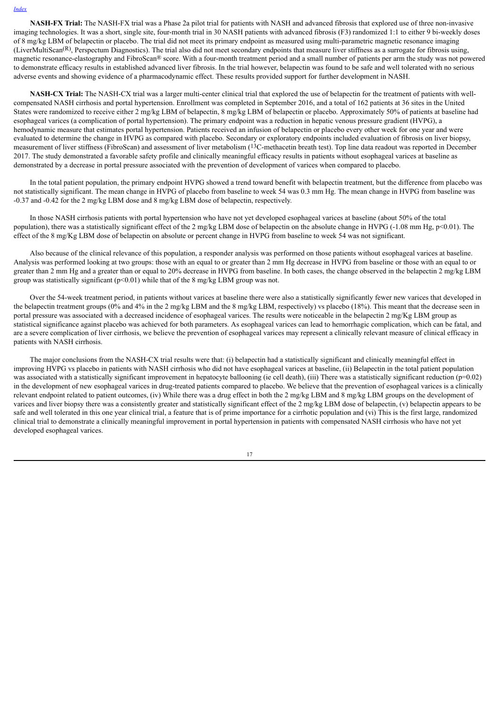**NASH-FX Trial:** The NASH-FX trial was a Phase 2a pilot trial for patients with NASH and advanced fibrosis that explored use of three non-invasive imaging technologies. It was a short, single site, four-month trial in 30 NASH patients with advanced fibrosis (F3) randomized 1:1 to either 9 bi-weekly doses of 8 mg/kg LBM of belapectin or placebo. The trial did not meet its primary endpoint as measured using multi-parametric magnetic resonance imaging (LiverMultiScan<sup>(R)</sup>, Perspectum Diagnostics). The trial also did not meet secondary endpoints that measure liver stiffness as a surrogate for fibrosis using, magnetic resonance-elastography and FibroScan® score. With a four-month treatment period and a small number of patients per arm the study was not powered to demonstrate efficacy results in established advanced liver fibrosis. In the trial however, belapectin was found to be safe and well tolerated with no serious adverse events and showing evidence of a pharmacodynamic effect. These results provided support for further development in NASH.

**NASH-CX Trial:** The NASH-CX trial was a larger multi-center clinical trial that explored the use of belapectin for the treatment of patients with wellcompensated NASH cirrhosis and portal hypertension. Enrollment was completed in September 2016, and a total of 162 patients at 36 sites in the United States were randomized to receive either 2 mg/kg LBM of belapectin, 8 mg/kg LBM of belapectin or placebo. Approximately 50% of patients at baseline had esophageal varices (a complication of portal hypertension). The primary endpoint was a reduction in hepatic venous pressure gradient (HVPG), a hemodynamic measure that estimates portal hypertension. Patients received an infusion of belapectin or placebo every other week for one year and were evaluated to determine the change in HVPG as compared with placebo. Secondary or exploratory endpoints included evaluation of fibrosis on liver biopsy, measurement of liver stiffness (FibroScan) and assessment of liver metabolism (<sup>13</sup>C-methacetin breath test). Top line data readout was reported in December 2017. The study demonstrated a favorable safety profile and clinically meaningful efficacy results in patients without esophageal varices at baseline as demonstrated by a decrease in portal pressure associated with the prevention of development of varices when compared to placebo.

In the total patient population, the primary endpoint HVPG showed a trend toward benefit with belapectin treatment, but the difference from placebo was not statistically significant. The mean change in HVPG of placebo from baseline to week 54 was 0.3 mm Hg. The mean change in HVPG from baseline was -0.37 and -0.42 for the 2 mg/kg LBM dose and 8 mg/kg LBM dose of belapectin, respectively.

In those NASH cirrhosis patients with portal hypertension who have not yet developed esophageal varices at baseline (about 50% of the total population), there was a statistically significant effect of the 2 mg/kg LBM dose of belapectin on the absolute change in HVPG (-1.08 mm Hg, p<0.01). The effect of the 8 mg/Kg LBM dose of belapectin on absolute or percent change in HVPG from baseline to week 54 was not significant.

Also because of the clinical relevance of this population, a responder analysis was performed on those patients without esophageal varices at baseline. Analysis was performed looking at two groups: those with an equal to or greater than 2 mm Hg decrease in HVPG from baseline or those with an equal to or greater than 2 mm Hg and a greater than or equal to 20% decrease in HVPG from baseline. In both cases, the change observed in the belapectin 2 mg/kg LBM group was statistically significant ( $p$ <0.01) while that of the 8 mg/kg LBM group was not.

Over the 54-week treatment period, in patients without varices at baseline there were also a statistically significantly fewer new varices that developed in the belapectin treatment groups (0% and 4% in the 2 mg/kg LBM and the 8 mg/kg LBM, respectively) vs placebo (18%). This meant that the decrease seen in portal pressure was associated with a decreased incidence of esophageal varices. The results were noticeable in the belapectin 2 mg/Kg LBM group as statistical significance against placebo was achieved for both parameters. As esophageal varices can lead to hemorrhagic complication, which can be fatal, and are a severe complication of liver cirrhosis, we believe the prevention of esophageal varices may represent a clinically relevant measure of clinical efficacy in patients with NASH cirrhosis.

The major conclusions from the NASH-CX trial results were that: (i) belapectin had a statistically significant and clinically meaningful effect in improving HVPG vs placebo in patients with NASH cirrhosis who did not have esophageal varices at baseline, (ii) Belapectin in the total patient population was associated with a statistically significant improvement in hepatocyte ballooning (ie cell death), (iii) There was a statistically significant reduction ( $p=0.02$ ) in the development of new esophageal varices in drug-treated patients compared to placebo. We believe that the prevention of esophageal varices is a clinically relevant endpoint related to patient outcomes, (iv) While there was a drug effect in both the 2 mg/kg LBM and 8 mg/kg LBM groups on the development of varices and liver biopsy there was a consistently greater and statistically significant effect of the 2 mg/kg LBM dose of belapectin, (v) belapectin appears to be safe and well tolerated in this one year clinical trial, a feature that is of prime importance for a cirrhotic population and (vi) This is the first large, randomized clinical trial to demonstrate a clinically meaningful improvement in portal hypertension in patients with compensated NASH cirrhosis who have not yet developed esophageal varices.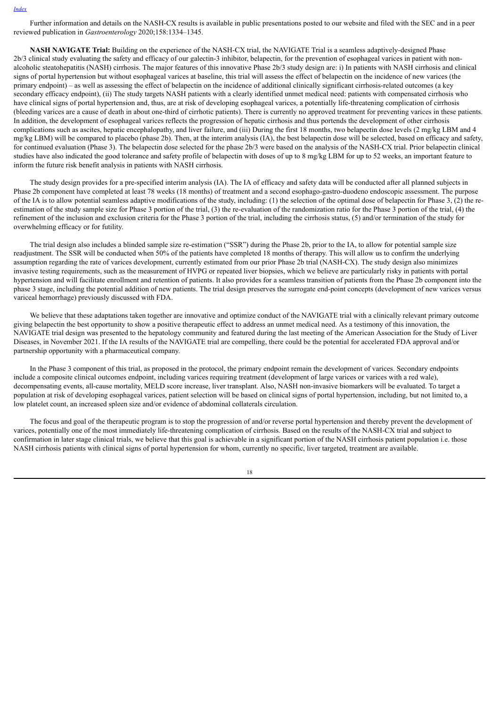Further information and details on the NASH-CX results is available in public presentations posted to our website and filed with the SEC and in a peer reviewed publication in *Gastroenterology* 2020;158:1334–1345.

**NASH NAVIGATE Trial:** Building on the experience of the NASH-CX trial, the NAVIGATE Trial is a seamless adaptively-designed Phase 2b/3 clinical study evaluating the safety and efficacy of our galectin-3 inhibitor, belapectin, for the prevention of esophageal varices in patient with nonalcoholic steatohepatitis (NASH) cirrhosis. The major features of this innovative Phase 2b/3 study design are: i) In patients with NASH cirrhosis and clinical signs of portal hypertension but without esophageal varices at baseline, this trial will assess the effect of belapectin on the incidence of new varices (the primary endpoint) – as well as assessing the effect of belapectin on the incidence of additional clinically significant cirrhosis-related outcomes (a key secondary efficacy endpoint), (ii) The study targets NASH patients with a clearly identified unmet medical need: patients with compensated cirrhosis who have clinical signs of portal hypertension and, thus, are at risk of developing esophageal varices, a potentially life-threatening complication of cirrhosis (bleeding varices are a cause of death in about one-third of cirrhotic patients). There is currently no approved treatment for preventing varices in these patients. In addition, the development of esophageal varices reflects the progression of hepatic cirrhosis and thus portends the development of other cirrhosis complications such as ascites, hepatic encephalopathy, and liver failure, and (iii) During the first 18 months, two belapectin dose levels (2 mg/kg LBM and 4 mg/kg LBM) will be compared to placebo (phase 2b). Then, at the interim analysis (IA), the best belapectin dose will be selected, based on efficacy and safety, for continued evaluation (Phase 3). The belapectin dose selected for the phase 2b/3 were based on the analysis of the NASH-CX trial. Prior belapectin clinical studies have also indicated the good tolerance and safety profile of belapectin with doses of up to 8 mg/kg LBM for up to 52 weeks, an important feature to inform the future risk benefit analysis in patients with NASH cirrhosis.

The study design provides for a pre-specified interim analysis (IA). The IA of efficacy and safety data will be conducted after all planned subjects in Phase 2b component have completed at least 78 weeks (18 months) of treatment and a second esophago-gastro-duodeno endoscopic assessment. The purpose of the IA is to allow potential seamless adaptive modifications of the study, including: (1) the selection of the optimal dose of belapectin for Phase 3, (2) the reestimation of the study sample size for Phase 3 portion of the trial, (3) the re-evaluation of the randomization ratio for the Phase 3 portion of the trial, (4) the refinement of the inclusion and exclusion criteria for the Phase 3 portion of the trial, including the cirrhosis status, (5) and/or termination of the study for overwhelming efficacy or for futility.

The trial design also includes a blinded sample size re-estimation ("SSR") during the Phase 2b, prior to the IA, to allow for potential sample size readjustment. The SSR will be conducted when 50% of the patients have completed 18 months of therapy. This will allow us to confirm the underlying assumption regarding the rate of varices development, currently estimated from our prior Phase 2b trial (NASH-CX). The study design also minimizes invasive testing requirements, such as the measurement of HVPG or repeated liver biopsies, which we believe are particularly risky in patients with portal hypertension and will facilitate enrollment and retention of patients. It also provides for a seamless transition of patients from the Phase 2b component into the phase 3 stage, including the potential addition of new patients. The trial design preserves the surrogate end-point concepts (development of new varices versus variceal hemorrhage) previously discussed with FDA.

We believe that these adaptations taken together are innovative and optimize conduct of the NAVIGATE trial with a clinically relevant primary outcome giving belapectin the best opportunity to show a positive therapeutic effect to address an unmet medical need. As a testimony of this innovation, the NAVIGATE trial design was presented to the hepatology community and featured during the last meeting of the American Association for the Study of Liver Diseases, in November 2021. If the IA results of the NAVIGATE trial are compelling, there could be the potential for accelerated FDA approval and/or partnership opportunity with a pharmaceutical company.

In the Phase 3 component of this trial, as proposed in the protocol, the primary endpoint remain the development of varices. Secondary endpoints include a composite clinical outcomes endpoint, including varices requiring treatment (development of large varices or varices with a red wale), decompensating events, all-cause mortality, MELD score increase, liver transplant. Also, NASH non-invasive biomarkers will be evaluated. To target a population at risk of developing esophageal varices, patient selection will be based on clinical signs of portal hypertension, including, but not limited to, a low platelet count, an increased spleen size and/or evidence of abdominal collaterals circulation.

The focus and goal of the therapeutic program is to stop the progression of and/or reverse portal hypertension and thereby prevent the development of varices, potentially one of the most immediately life-threatening complication of cirrhosis. Based on the results of the NASH-CX trial and subject to confirmation in later stage clinical trials, we believe that this goal is achievable in a significant portion of the NASH cirrhosis patient population i.e. those NASH cirrhosis patients with clinical signs of portal hypertension for whom, currently no specific, liver targeted, treatment are available.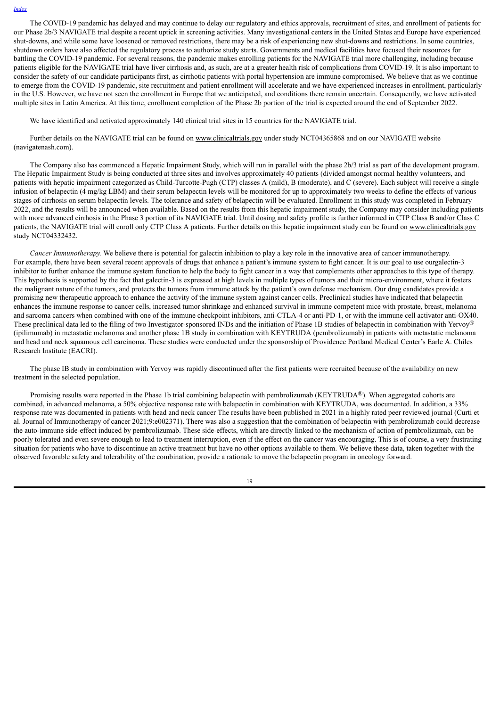The COVID-19 pandemic has delayed and may continue to delay our regulatory and ethics approvals, recruitment of sites, and enrollment of patients for our Phase 2b/3 NAVIGATE trial despite a recent uptick in screening activities. Many investigational centers in the United States and Europe have experienced shut-downs, and while some have loosened or removed restrictions, there may be a risk of experiencing new shut-downs and restrictions. In some countries, shutdown orders have also affected the regulatory process to authorize study starts. Governments and medical facilities have focused their resources for battling the COVID-19 pandemic. For several reasons, the pandemic makes enrolling patients for the NAVIGATE trial more challenging, including because patients eligible for the NAVIGATE trial have liver cirrhosis and, as such, are at a greater health risk of complications from COVID-19. It is also important to consider the safety of our candidate participants first, as cirrhotic patients with portal hypertension are immune compromised. We believe that as we continue to emerge from the COVID-19 pandemic, site recruitment and patient enrollment will accelerate and we have experienced increases in enrollment, particularly in the U.S. However, we have not seen the enrollment in Europe that we anticipated, and conditions there remain uncertain. Consequently, we have activated multiple sites in Latin America. At this time, enrollment completion of the Phase 2b portion of the trial is expected around the end of September 2022.

We have identified and activated approximately 140 clinical trial sites in 15 countries for the NAVIGATE trial.

Further details on the NAVIGATE trial can be found on www.clinicaltrials.gov under study NCT04365868 and on our NAVIGATE website (navigatenash.com).

The Company also has commenced a Hepatic Impairment Study, which will run in parallel with the phase 2b/3 trial as part of the development program. The Hepatic Impairment Study is being conducted at three sites and involves approximately 40 patients (divided amongst normal healthy volunteers, and patients with hepatic impairment categorized as Child-Turcotte-Pugh (CTP) classes A (mild), B (moderate), and C (severe). Each subject will receive a single infusion of belapectin (4 mg/kg LBM) and their serum belapectin levels will be monitored for up to approximately two weeks to define the effects of various stages of cirrhosis on serum belapectin levels. The tolerance and safety of belapectin will be evaluated. Enrollment in this study was completed in February 2022, and the results will be announced when available. Based on the results from this hepatic impairment study, the Company may consider including patients with more advanced cirrhosis in the Phase 3 portion of its NAVIGATE trial. Until dosing and safety profile is further informed in CTP Class B and/or Class C patients, the NAVIGATE trial will enroll only CTP Class A patients. Further details on this hepatic impairment study can be found on www.clinicaltrials.gov study NCT04332432.

*Cancer Immunotherapy.* We believe there is potential for galectin inhibition to play a key role in the innovative area of cancer immunotherapy. For example, there have been several recent approvals of drugs that enhance a patient's immune system to fight cancer. It is our goal to use ourgalectin-3 inhibitor to further enhance the immune system function to help the body to fight cancer in a way that complements other approaches to this type of therapy. This hypothesis is supported by the fact that galectin-3 is expressed at high levels in multiple types of tumors and their micro-environment, where it fosters the malignant nature of the tumors, and protects the tumors from immune attack by the patient's own defense mechanism. Our drug candidates provide a promising new therapeutic approach to enhance the activity of the immune system against cancer cells. Preclinical studies have indicated that belapectin enhances the immune response to cancer cells, increased tumor shrinkage and enhanced survival in immune competent mice with prostate, breast, melanoma and sarcoma cancers when combined with one of the immune checkpoint inhibitors, anti-CTLA-4 or anti-PD-1, or with the immune cell activator anti-OX40. These preclinical data led to the filing of two Investigator-sponsored INDs and the initiation of Phase 1B studies of belapectin in combination with Yervoy® (ipilimumab) in metastatic melanoma and another phase 1B study in combination with KEYTRUDA (pembrolizumab) in patients with metastatic melanoma and head and neck squamous cell carcinoma. These studies were conducted under the sponsorship of Providence Portland Medical Center's Earle A. Chiles Research Institute (EACRI).

The phase IB study in combination with Yervoy was rapidly discontinued after the first patients were recruited because of the availability on new treatment in the selected population.

Promising results were reported in the Phase 1b trial combining belapectin with pembrolizumab (KEYTRUDA®). When aggregated cohorts are combined, in advanced melanoma, a 50% objective response rate with belapectin in combination with KEYTRUDA, was documented. In addition, a 33% response rate was documented in patients with head and neck cancer The results have been published in 2021 in a highly rated peer reviewed journal (Curti et al. Journal of Immunotherapy of cancer 2021;9:e002371). There was also a suggestion that the combination of belapectin with pembrolizumab could decrease the auto-immune side-effect induced by pembrolizumab. These side-effects, which are directly linked to the mechanism of action of pembrolizumab, can be poorly tolerated and even severe enough to lead to treatment interruption, even if the effect on the cancer was encouraging. This is of course, a very frustrating situation for patients who have to discontinue an active treatment but have no other options available to them. We believe these data, taken together with the observed favorable safety and tolerability of the combination, provide a rationale to move the belapectin program in oncology forward.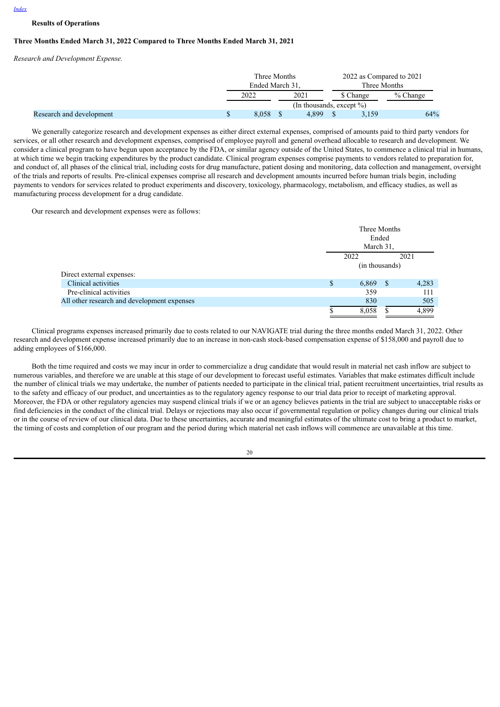# **Results of Operations**

### **Three Months Ended March 31, 2022 Compared to Three Months Ended March 31, 2021**

*Research and Development Expense.*

|                          | Three Months<br>Ended March 31. |  |                              |  | 2022 as Compared to 2021<br>Three Months |            |
|--------------------------|---------------------------------|--|------------------------------|--|------------------------------------------|------------|
|                          | 2022                            |  | 2021                         |  | \$ Change                                | $%$ Change |
|                          |                                 |  | (In thousands, except $\%$ ) |  |                                          |            |
| Research and development | 8.058                           |  | 4.899                        |  | 3.159                                    | 64%        |

We generally categorize research and development expenses as either direct external expenses, comprised of amounts paid to third party vendors for services, or all other research and development expenses, comprised of employee payroll and general overhead allocable to research and development. We consider a clinical program to have begun upon acceptance by the FDA, or similar agency outside of the United States, to commence a clinical trial in humans, at which time we begin tracking expenditures by the product candidate. Clinical program expenses comprise payments to vendors related to preparation for, and conduct of, all phases of the clinical trial, including costs for drug manufacture, patient dosing and monitoring, data collection and management, oversight of the trials and reports of results. Pre-clinical expenses comprise all research and development amounts incurred before human trials begin, including payments to vendors for services related to product experiments and discovery, toxicology, pharmacology, metabolism, and efficacy studies, as well as manufacturing process development for a drug candidate.

Our research and development expenses were as follows:

|                                             |             | Three Months<br>Ended<br>2021<br>(in thousands)<br>4,283<br>- S<br>111<br>505 |       |
|---------------------------------------------|-------------|-------------------------------------------------------------------------------|-------|
|                                             | March 31.   |                                                                               |       |
|                                             | 2022        |                                                                               |       |
|                                             |             |                                                                               |       |
| Direct external expenses:                   |             |                                                                               |       |
| Clinical activities                         | \$<br>6,869 |                                                                               |       |
| Pre-clinical activities                     | 359         |                                                                               |       |
| All other research and development expenses | 830         |                                                                               |       |
|                                             | 8,058       |                                                                               | 4,899 |
|                                             |             |                                                                               |       |

Clinical programs expenses increased primarily due to costs related to our NAVIGATE trial during the three months ended March 31, 2022. Other research and development expense increased primarily due to an increase in non-cash stock-based compensation expense of \$158,000 and payroll due to adding employees of \$166,000.

Both the time required and costs we may incur in order to commercialize a drug candidate that would result in material net cash inflow are subject to numerous variables, and therefore we are unable at this stage of our development to forecast useful estimates. Variables that make estimates difficult include the number of clinical trials we may undertake, the number of patients needed to participate in the clinical trial, patient recruitment uncertainties, trial results as to the safety and efficacy of our product, and uncertainties as to the regulatory agency response to our trial data prior to receipt of marketing approval. Moreover, the FDA or other regulatory agencies may suspend clinical trials if we or an agency believes patients in the trial are subject to unacceptable risks or find deficiencies in the conduct of the clinical trial. Delays or rejections may also occur if governmental regulation or policy changes during our clinical trials or in the course of review of our clinical data. Due to these uncertainties, accurate and meaningful estimates of the ultimate cost to bring a product to market, the timing of costs and completion of our program and the period during which material net cash inflows will commence are unavailable at this time.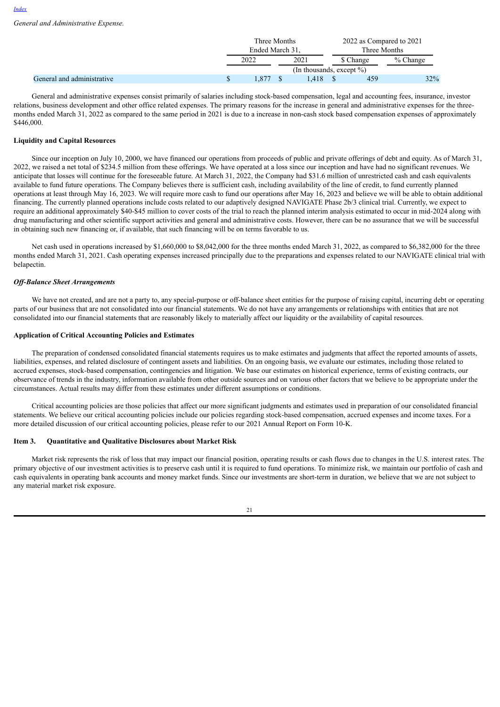*General and Administrative Expense.*

|                            | 2022 as Compared to 2021<br>Three Months<br>Ended March 31.<br>Three Months |  |                              |           |            |
|----------------------------|-----------------------------------------------------------------------------|--|------------------------------|-----------|------------|
|                            | 2022                                                                        |  | 2021                         | \$ Change | $%$ Change |
|                            |                                                                             |  | (In thousands, except $\%$ ) |           |            |
| General and administrative | 1.877                                                                       |  | .418                         | 459       | 32%        |

General and administrative expenses consist primarily of salaries including stock-based compensation, legal and accounting fees, insurance, investor relations, business development and other office related expenses. The primary reasons for the increase in general and administrative expenses for the threemonths ended March 31, 2022 as compared to the same period in 2021 is due to a increase in non-cash stock based compensation expenses of approximately \$446,000.

# **Liquidity and Capital Resources**

Since our inception on July 10, 2000, we have financed our operations from proceeds of public and private offerings of debt and equity. As of March 31, 2022, we raised a net total of \$234.5 million from these offerings. We have operated at a loss since our inception and have had no significant revenues. We anticipate that losses will continue for the foreseeable future. At March 31, 2022, the Company had \$31.6 million of unrestricted cash and cash equivalents available to fund future operations. The Company believes there is sufficient cash, including availability of the line of credit, to fund currently planned operations at least through May 16, 2023. We will require more cash to fund our operations after May 16, 2023 and believe we will be able to obtain additional financing. The currently planned operations include costs related to our adaptively designed NAVIGATE Phase 2b/3 clinical trial. Currently, we expect to require an additional approximately \$40-\$45 million to cover costs of the trial to reach the planned interim analysis estimated to occur in mid-2024 along with drug manufacturing and other scientific support activities and general and administrative costs. However, there can be no assurance that we will be successful in obtaining such new financing or, if available, that such financing will be on terms favorable to us.

Net cash used in operations increased by \$1,660,000 to \$8,042,000 for the three months ended March 31, 2022, as compared to \$6,382,000 for the three months ended March 31, 2021. Cash operating expenses increased principally due to the preparations and expenses related to our NAVIGATE clinical trial with belapectin.

### *Of -Balance Sheet Arrangements*

We have not created, and are not a party to, any special-purpose or off-balance sheet entities for the purpose of raising capital, incurring debt or operating parts of our business that are not consolidated into our financial statements. We do not have any arrangements or relationships with entities that are not consolidated into our financial statements that are reasonably likely to materially affect our liquidity or the availability of capital resources.

### **Application of Critical Accounting Policies and Estimates**

The preparation of condensed consolidated financial statements requires us to make estimates and judgments that affect the reported amounts of assets, liabilities, expenses, and related disclosure of contingent assets and liabilities. On an ongoing basis, we evaluate our estimates, including those related to accrued expenses, stock-based compensation, contingencies and litigation. We base our estimates on historical experience, terms of existing contracts, our observance of trends in the industry, information available from other outside sources and on various other factors that we believe to be appropriate under the circumstances. Actual results may differ from these estimates under different assumptions or conditions.

Critical accounting policies are those policies that affect our more significant judgments and estimates used in preparation of our consolidated financial statements. We believe our critical accounting policies include our policies regarding stock-based compensation, accrued expenses and income taxes. For a more detailed discussion of our critical accounting policies, please refer to our 2021 Annual Report on Form 10-K.

# <span id="page-20-0"></span>**Item 3. Quantitative and Qualitative Disclosures about Market Risk**

Market risk represents the risk of loss that may impact our financial position, operating results or cash flows due to changes in the U.S. interest rates. The primary objective of our investment activities is to preserve cash until it is required to fund operations. To minimize risk, we maintain our portfolio of cash and cash equivalents in operating bank accounts and money market funds. Since our investments are short-term in duration, we believe that we are not subject to any material market risk exposure.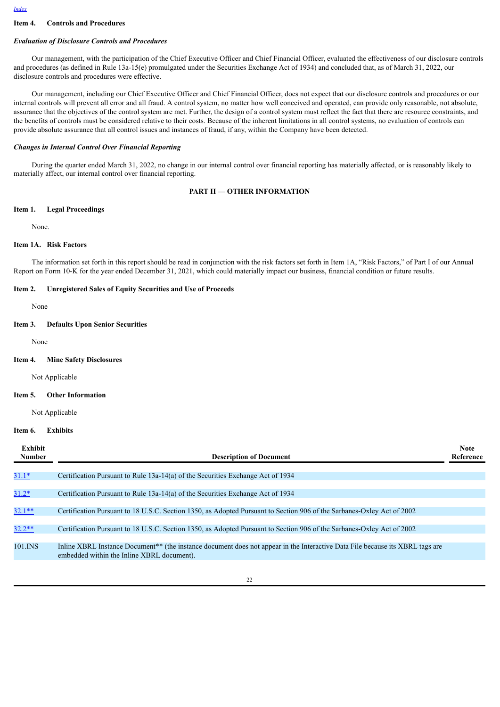# <span id="page-21-0"></span>**Item 4. Controls and Procedures**

### *Evaluation of Disclosure Controls and Procedures*

Our management, with the participation of the Chief Executive Officer and Chief Financial Officer, evaluated the effectiveness of our disclosure controls and procedures (as defined in Rule 13a-15(e) promulgated under the Securities Exchange Act of 1934) and concluded that, as of March 31, 2022, our disclosure controls and procedures were effective.

Our management, including our Chief Executive Officer and Chief Financial Officer, does not expect that our disclosure controls and procedures or our internal controls will prevent all error and all fraud. A control system, no matter how well conceived and operated, can provide only reasonable, not absolute, assurance that the objectives of the control system are met. Further, the design of a control system must reflect the fact that there are resource constraints, and the benefits of controls must be considered relative to their costs. Because of the inherent limitations in all control systems, no evaluation of controls can provide absolute assurance that all control issues and instances of fraud, if any, within the Company have been detected.

# *Changes in Internal Control Over Financial Reporting*

During the quarter ended March 31, 2022, no change in our internal control over financial reporting has materially affected, or is reasonably likely to materially affect, our internal control over financial reporting.

# **PART II — OTHER INFORMATION**

# <span id="page-21-1"></span>**Item 1. Legal Proceedings**

None.

# <span id="page-21-2"></span>**Item 1A. Risk Factors**

The information set forth in this report should be read in conjunction with the risk factors set forth in Item 1A, "Risk Factors," of Part I of our Annual Report on Form 10-K for the year ended December 31, 2021, which could materially impact our business, financial condition or future results.

# <span id="page-21-3"></span>**Item 2. Unregistered Sales of Equity Securities and Use of Proceeds**

None

### <span id="page-21-4"></span>**Item 3. Defaults Upon Senior Securities**

None

### <span id="page-21-5"></span>**Item 4. Mine Safety Disclosures**

Not Applicable

### <span id="page-21-6"></span>**Item 5. Other Information**

Not Applicable

### <span id="page-21-7"></span>**Item 6. Exhibits**

| Exhibit<br><b>Number</b> | <b>Description of Document</b>                                                                                                                                                          | <b>Note</b><br>Reference |
|--------------------------|-----------------------------------------------------------------------------------------------------------------------------------------------------------------------------------------|--------------------------|
|                          |                                                                                                                                                                                         |                          |
| $31.1*$                  | Certification Pursuant to Rule 13a-14(a) of the Securities Exchange Act of 1934                                                                                                         |                          |
|                          |                                                                                                                                                                                         |                          |
| $31.2*$                  | Certification Pursuant to Rule 13a-14(a) of the Securities Exchange Act of 1934                                                                                                         |                          |
|                          |                                                                                                                                                                                         |                          |
| $32.1**$                 | Certification Pursuant to 18 U.S.C. Section 1350, as Adopted Pursuant to Section 906 of the Sarbanes-Oxley Act of 2002                                                                  |                          |
|                          |                                                                                                                                                                                         |                          |
| $32.2**$                 | Certification Pursuant to 18 U.S.C. Section 1350, as Adopted Pursuant to Section 906 of the Sarbanes-Oxley Act of 2002                                                                  |                          |
|                          |                                                                                                                                                                                         |                          |
| 101.INS                  | Inline XBRL Instance Document <sup>**</sup> (the instance document does not appear in the Interactive Data File because its XBRL tags are<br>embedded within the Inline XBRL document). |                          |
|                          |                                                                                                                                                                                         |                          |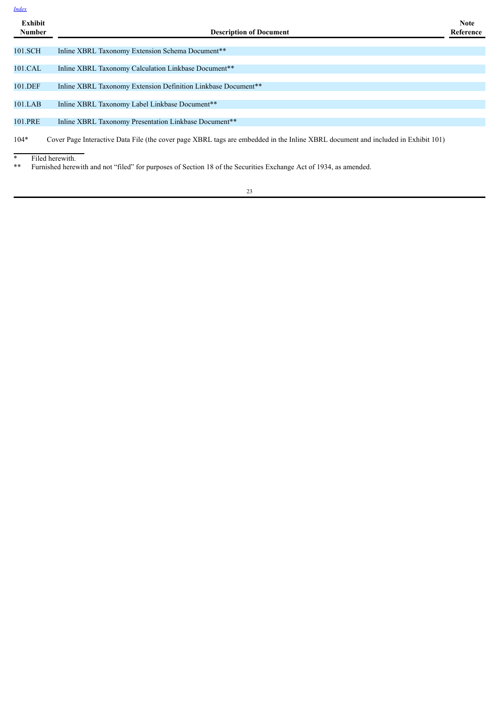| Exhibit<br><b>Number</b> | <b>Description of Document</b>                                                                                                   | <b>Note</b><br>Reference |
|--------------------------|----------------------------------------------------------------------------------------------------------------------------------|--------------------------|
| 101.SCH                  | Inline XBRL Taxonomy Extension Schema Document <sup>**</sup>                                                                     |                          |
| 101.CAL                  | Inline XBRL Taxonomy Calculation Linkbase Document <sup>**</sup>                                                                 |                          |
| 101.DEF                  | Inline XBRL Taxonomy Extension Definition Linkbase Document <sup>**</sup>                                                        |                          |
| $101$ .LAB               | Inline XBRL Taxonomy Label Linkbase Document**                                                                                   |                          |
| 101.PRE                  | Inline XBRL Taxonomy Presentation Linkbase Document**                                                                            |                          |
| $104*$                   | Cover Page Interactive Data File (the cover page XBRL tags are embedded in the Inline XBRL document and included in Exhibit 101) |                          |

\* Filed herewith.

\*\* Furnished herewith and not "filed" for purposes of Section 18 of the Securities Exchange Act of 1934, as amended.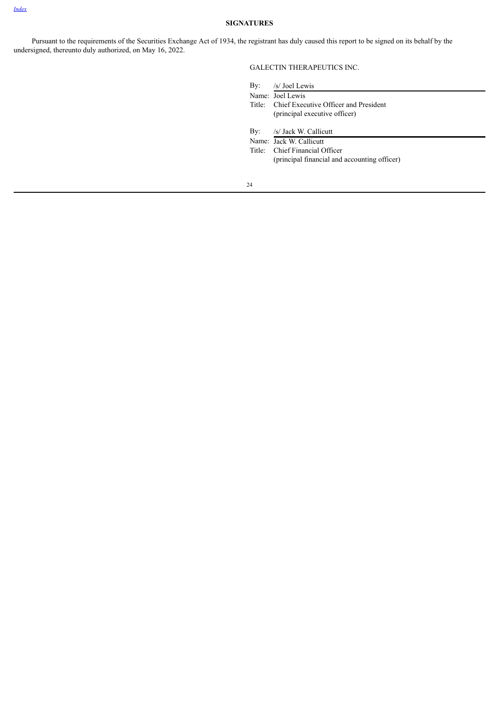<span id="page-23-0"></span>Pursuant to the requirements of the Securities Exchange Act of 1934, the registrant has duly caused this report to be signed on its behalf by the undersigned, thereunto duly authorized, on May 16, 2022.

# GALECTIN THERAPEUTICS INC.

| By: | /s/ Joel Lewis                               |
|-----|----------------------------------------------|
|     | Name: Joel Lewis                             |
|     | Title: Chief Executive Officer and President |
|     | (principal executive officer)                |
|     | By: /s/ Jack W. Callicutt                    |
|     | Name: Jack W. Callicutt                      |
|     | Title: Chief Financial Officer               |
|     | (principal financial and accounting officer) |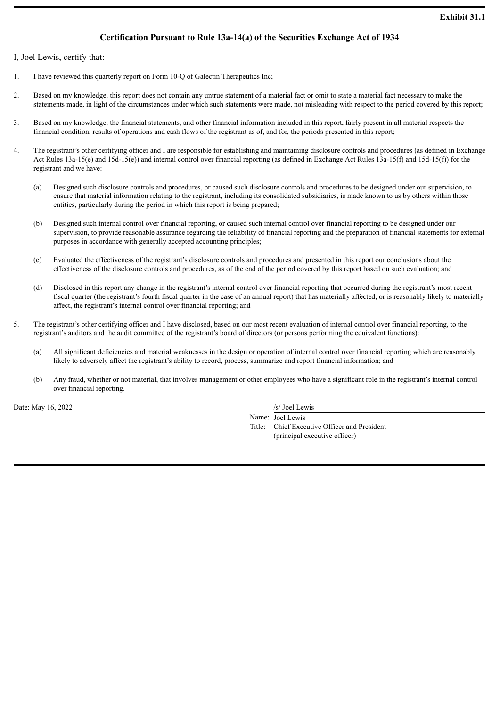# **Certification Pursuant to Rule 13a-14(a) of the Securities Exchange Act of 1934**

# <span id="page-24-0"></span>I, Joel Lewis, certify that:

- 1. I have reviewed this quarterly report on Form 10-Q of Galectin Therapeutics Inc;
- 2. Based on my knowledge, this report does not contain any untrue statement of a material fact or omit to state a material fact necessary to make the statements made, in light of the circumstances under which such statements were made, not misleading with respect to the period covered by this report;
- 3. Based on my knowledge, the financial statements, and other financial information included in this report, fairly present in all material respects the financial condition, results of operations and cash flows of the registrant as of, and for, the periods presented in this report;
- 4. The registrant's other certifying officer and I are responsible for establishing and maintaining disclosure controls and procedures (as defined in Exchange Act Rules 13a-15(e) and 15d-15(e)) and internal control over financial reporting (as defined in Exchange Act Rules 13a-15(f) and 15d-15(f)) for the registrant and we have:
	- (a) Designed such disclosure controls and procedures, or caused such disclosure controls and procedures to be designed under our supervision, to ensure that material information relating to the registrant, including its consolidated subsidiaries, is made known to us by others within those entities, particularly during the period in which this report is being prepared;
	- (b) Designed such internal control over financial reporting, or caused such internal control over financial reporting to be designed under our supervision, to provide reasonable assurance regarding the reliability of financial reporting and the preparation of financial statements for external purposes in accordance with generally accepted accounting principles;
	- (c) Evaluated the effectiveness of the registrant's disclosure controls and procedures and presented in this report our conclusions about the effectiveness of the disclosure controls and procedures, as of the end of the period covered by this report based on such evaluation; and
	- (d) Disclosed in this report any change in the registrant's internal control over financial reporting that occurred during the registrant's most recent fiscal quarter (the registrant's fourth fiscal quarter in the case of an annual report) that has materially affected, or is reasonably likely to materially affect, the registrant's internal control over financial reporting; and
- 5. The registrant's other certifying officer and I have disclosed, based on our most recent evaluation of internal control over financial reporting, to the registrant's auditors and the audit committee of the registrant's board of directors (or persons performing the equivalent functions):
	- (a) All significant deficiencies and material weaknesses in the design or operation of internal control over financial reporting which are reasonably likely to adversely affect the registrant's ability to record, process, summarize and report financial information; and
	- (b) Any fraud, whether or not material, that involves management or other employees who have a significant role in the registrant's internal control over financial reporting.

Date: May 16, 2022 /s/ Joel Lewis

Name: Joel Lewis Title: Chief Executive Officer and President (principal executive officer)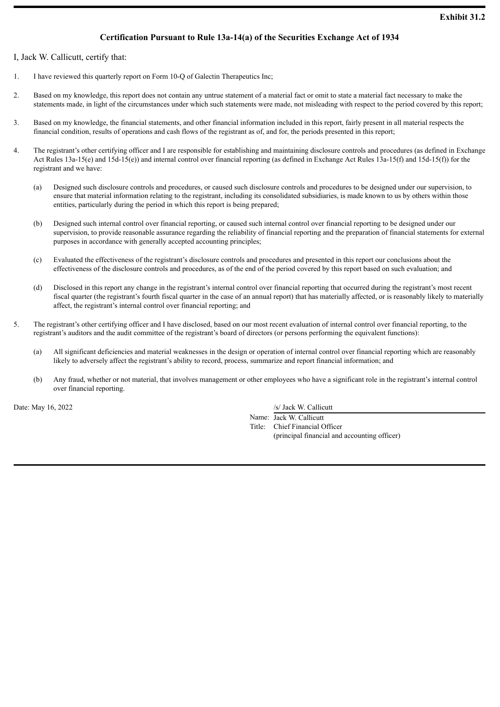# **Certification Pursuant to Rule 13a-14(a) of the Securities Exchange Act of 1934**

# <span id="page-25-0"></span>I, Jack W. Callicutt, certify that:

- 1. I have reviewed this quarterly report on Form 10-Q of Galectin Therapeutics Inc;
- 2. Based on my knowledge, this report does not contain any untrue statement of a material fact or omit to state a material fact necessary to make the statements made, in light of the circumstances under which such statements were made, not misleading with respect to the period covered by this report;
- 3. Based on my knowledge, the financial statements, and other financial information included in this report, fairly present in all material respects the financial condition, results of operations and cash flows of the registrant as of, and for, the periods presented in this report;
- 4. The registrant's other certifying officer and I are responsible for establishing and maintaining disclosure controls and procedures (as defined in Exchange Act Rules 13a-15(e) and 15d-15(e)) and internal control over financial reporting (as defined in Exchange Act Rules 13a-15(f) and 15d-15(f)) for the registrant and we have:
	- (a) Designed such disclosure controls and procedures, or caused such disclosure controls and procedures to be designed under our supervision, to ensure that material information relating to the registrant, including its consolidated subsidiaries, is made known to us by others within those entities, particularly during the period in which this report is being prepared;
	- (b) Designed such internal control over financial reporting, or caused such internal control over financial reporting to be designed under our supervision, to provide reasonable assurance regarding the reliability of financial reporting and the preparation of financial statements for external purposes in accordance with generally accepted accounting principles;
	- (c) Evaluated the effectiveness of the registrant's disclosure controls and procedures and presented in this report our conclusions about the effectiveness of the disclosure controls and procedures, as of the end of the period covered by this report based on such evaluation; and
	- (d) Disclosed in this report any change in the registrant's internal control over financial reporting that occurred during the registrant's most recent fiscal quarter (the registrant's fourth fiscal quarter in the case of an annual report) that has materially affected, or is reasonably likely to materially affect, the registrant's internal control over financial reporting; and
- 5. The registrant's other certifying officer and I have disclosed, based on our most recent evaluation of internal control over financial reporting, to the registrant's auditors and the audit committee of the registrant's board of directors (or persons performing the equivalent functions):
	- (a) All significant deficiencies and material weaknesses in the design or operation of internal control over financial reporting which are reasonably likely to adversely affect the registrant's ability to record, process, summarize and report financial information; and
	- (b) Any fraud, whether or not material, that involves management or other employees who have a significant role in the registrant's internal control over financial reporting.

Date: May 16, 2022 /s/ Jack W. Callicutt

Name: Jack W. Callicutt Title: Chief Financial Officer (principal financial and accounting officer)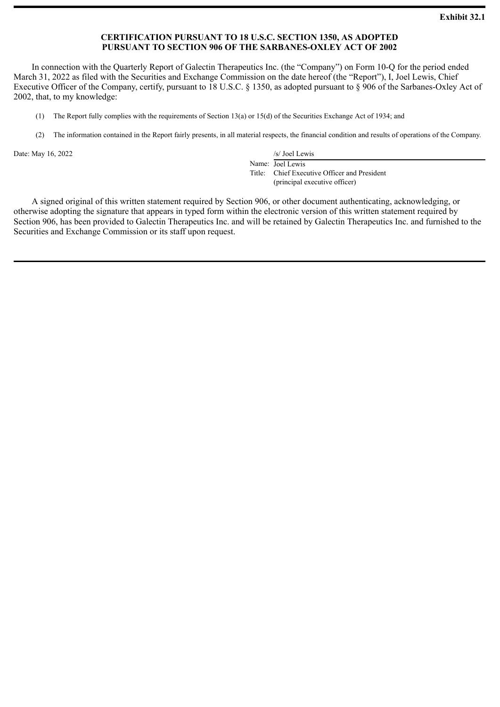# **CERTIFICATION PURSUANT TO 18 U.S.C. SECTION 1350, AS ADOPTED PURSUANT TO SECTION 906 OF THE SARBANES-OXLEY ACT OF 2002**

<span id="page-26-0"></span>In connection with the Quarterly Report of Galectin Therapeutics Inc. (the "Company") on Form 10-Q for the period ended March 31, 2022 as filed with the Securities and Exchange Commission on the date hereof (the "Report"), I, Joel Lewis, Chief Executive Officer of the Company, certify, pursuant to 18 U.S.C. § 1350, as adopted pursuant to § 906 of the Sarbanes-Oxley Act of 2002, that, to my knowledge:

(1) The Report fully complies with the requirements of Section 13(a) or 15(d) of the Securities Exchange Act of 1934; and

(2) The information contained in the Report fairly presents, in all material respects, the financial condition and results of operations of the Company.

Date: May 16, 2022 /s/ Joel Lewis

Name: Joel Lewis Title: Chief Executive Officer and President (principal executive officer)

A signed original of this written statement required by Section 906, or other document authenticating, acknowledging, or otherwise adopting the signature that appears in typed form within the electronic version of this written statement required by Section 906, has been provided to Galectin Therapeutics Inc. and will be retained by Galectin Therapeutics Inc. and furnished to the Securities and Exchange Commission or its staff upon request.